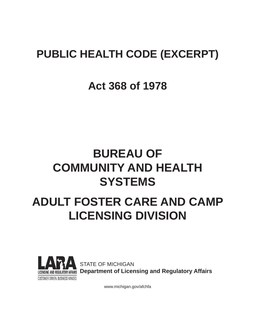## **PUBLIC HEALTH CODE (EXCERPT)**

## **Act 368 of 1978**

# **BUREAU OF COMMUNITY AND HEALTH SYSTEMS**

# **ADULT FOSTER CARE AND CAMP LICENSING DIVISION**



STATE OF MICHIGAN **Department of Licensing and Regulatory Affairs**

www.michigan.gov/afchfa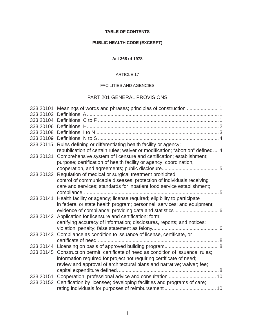#### **TABLE OF CONTENTS**

## **PUBLIC HEALTH CODE (EXCERPT)**

#### **Act 368 of 1978**

#### ARTICLE 17

#### FACILITIES AND AGENCIES

## PART 201 GENERAL PROVISIONS

| 333.20101 |                                                                                                                                                 |  |
|-----------|-------------------------------------------------------------------------------------------------------------------------------------------------|--|
| 333.20102 |                                                                                                                                                 |  |
| 333.20104 |                                                                                                                                                 |  |
| 333.20106 |                                                                                                                                                 |  |
| 333.20108 |                                                                                                                                                 |  |
| 333.20109 |                                                                                                                                                 |  |
| 333.20115 | Rules defining or differentiating health facility or agency;                                                                                    |  |
|           | republication of certain rules; waiver or modification; "abortion" defined 4                                                                    |  |
| 333.20131 | Comprehensive system of licensure and certification; establishment;<br>purpose; certification of health facility or agency; coordination,       |  |
| 333.20132 | Regulation of medical or surgical treatment prohibited;                                                                                         |  |
|           | control of communicable diseases; protection of individuals receiving<br>care and services; standards for inpatient food service establishment; |  |
|           |                                                                                                                                                 |  |
| 333.20141 | Health facility or agency; license required; eligibility to participate                                                                         |  |
|           | in federal or state health program; personnel; services; and equipment;                                                                         |  |
|           |                                                                                                                                                 |  |
| 333.20142 | Application for licensure and certification; form;                                                                                              |  |
|           | certifying accuracy of information; disclosures, reports; and notices;                                                                          |  |
|           |                                                                                                                                                 |  |
| 333.20143 | Compliance as condition to issuance of license, certificate, or                                                                                 |  |
|           |                                                                                                                                                 |  |
|           |                                                                                                                                                 |  |
| 333.20145 | Construction permit; certificate of need as condition of issuance; rules;                                                                       |  |
|           | information required for project not requiring certificate of need;                                                                             |  |
|           | review and approval of architectural plans and narrative; waiver; fee;                                                                          |  |
|           |                                                                                                                                                 |  |
| 333.20151 |                                                                                                                                                 |  |
| 333.20152 | Certification by licensee; developing facilities and programs of care;                                                                          |  |
|           |                                                                                                                                                 |  |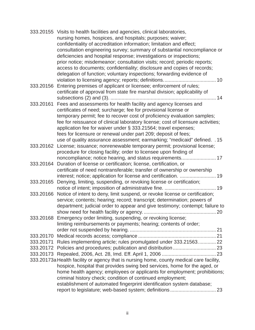|                                                                                          | 333.20155 Visits to health facilities and agencies, clinical laboratories,                                                                            |
|------------------------------------------------------------------------------------------|-------------------------------------------------------------------------------------------------------------------------------------------------------|
|                                                                                          | nursing homes, hospices, and hospitals; purposes; waiver;                                                                                             |
|                                                                                          | confidentiality of accreditation information; limitation and effect;                                                                                  |
|                                                                                          | consultation engineering survey; summary of substantial noncompliance or                                                                              |
|                                                                                          | deficiencies and hospital response; investigations or inspections;                                                                                    |
|                                                                                          | prior notice; misdemeanor; consultation visits; record; periodic reports;                                                                             |
|                                                                                          | access to documents; confidentiality; disclosure and copies of records;                                                                               |
|                                                                                          | delegation of function; voluntary inspections; forwarding evidence of                                                                                 |
|                                                                                          |                                                                                                                                                       |
| 333.20156                                                                                | Entering premises of applicant or licensee; enforcement of rules;                                                                                     |
|                                                                                          | certificate of approval from state fire marshal division; applicability of                                                                            |
|                                                                                          |                                                                                                                                                       |
| 333.20161                                                                                | Fees and assessments for health facility and agency licenses and                                                                                      |
|                                                                                          | certificates of need; surcharge; fee for provisional license or                                                                                       |
|                                                                                          | temporary permit; fee to recover cost of proficiency evaluation samples;                                                                              |
|                                                                                          | fee for reissuance of clinical laboratory license; cost of licensure activities;                                                                      |
|                                                                                          | application fee for waiver under § 333.21564; travel expenses;                                                                                        |
|                                                                                          |                                                                                                                                                       |
|                                                                                          | fees for licensure or renewal under part 209; deposit of fees;<br>use of quality assurance assessment; earmarking; "medicaid" defined. .15            |
|                                                                                          | 333.20162 License; issuance; nonrenewable temporary permit; provisional license;                                                                      |
|                                                                                          | procedure for closing facility; order to licensee upon finding of                                                                                     |
|                                                                                          |                                                                                                                                                       |
|                                                                                          | noncompliance; notice hearing, and status requirements 17                                                                                             |
|                                                                                          | 333.20164 Duration of license or certification; license, certification, or<br>certificate of need nontransferable; transfer of ownership or ownership |
|                                                                                          | interest; notice; application for license and certification.  19                                                                                      |
| 333.20165                                                                                | Denying, limiting, suspending, or revoking license or certification;                                                                                  |
|                                                                                          |                                                                                                                                                       |
|                                                                                          | 333.20166 Notice of intent to deny, limit suspend, or revoke license or certification;                                                                |
|                                                                                          | service; contents; hearing; record; transcript; determination; powers of                                                                              |
|                                                                                          |                                                                                                                                                       |
|                                                                                          | department; judicial order to appear and give testimony; contempt; failure to                                                                         |
|                                                                                          | 333.20168 Emergency order limiting, suspending, or revoking license;                                                                                  |
|                                                                                          |                                                                                                                                                       |
|                                                                                          | limiting reimbursements or payments; hearing; contents of order;                                                                                      |
|                                                                                          |                                                                                                                                                       |
| 333.20170<br>333.20171                                                                   | Rules implementing article; rules promulgated under 333.21563 22                                                                                      |
|                                                                                          |                                                                                                                                                       |
|                                                                                          |                                                                                                                                                       |
|                                                                                          |                                                                                                                                                       |
| 333.20173a Health facility or agency that is nursing home, county medical care facility, |                                                                                                                                                       |
|                                                                                          | hospice, hospital that provides swing bed services, home for the aged, or                                                                             |
|                                                                                          | home health agency; employees or applicants for employment; prohibitions;                                                                             |
|                                                                                          | criminal history check; condition of continued employment;                                                                                            |
|                                                                                          | establishment of automated fingerprint identification system database;                                                                                |
|                                                                                          |                                                                                                                                                       |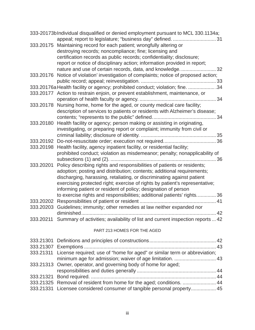|           | 333-20173b Individual disqualified or denied employment pursuant to MCL 330.1134a;                                                       |
|-----------|------------------------------------------------------------------------------------------------------------------------------------------|
|           | 333.20175 Maintaining record for each patient; wrongfully altering or<br>destroying records; noncompliance; fine; licensing and          |
|           | certification records as public records; confidentiality; disclosure;                                                                    |
|           | report or notice of disciplinary action; information provided in report;                                                                 |
|           | nature and use of certain records, data, and knowledge32                                                                                 |
|           | 333.20176 Notice of violation' investigation of complaints; notice of proposed action;                                                   |
|           | 34. 333.20176a Health facility or agency; prohibited conduct; violation; fine. 34                                                        |
|           | 333.20177 Action to restrain enjoin, or prevent establishment, maintenance, or                                                           |
|           |                                                                                                                                          |
|           | 333.20178 Nursing home, home for the aged, or county medical care facility;                                                              |
|           | description of services to patients or residents with Alzheimer's disease;                                                               |
|           |                                                                                                                                          |
|           | 333.20180 Health facility or agency; person making or assisting in originating,                                                          |
|           | investigating, or preparing report or complaint; immunity from civil or                                                                  |
|           |                                                                                                                                          |
|           |                                                                                                                                          |
|           | 333.20198 Health facility, agency inpatient facility, or residential facility;                                                           |
|           | prohibited conduct; violation as misdemeanor; penalty; nonapplicability of                                                               |
|           |                                                                                                                                          |
| 333.20201 | Policy describing rights and responsibilities of patients or residents;                                                                  |
|           | adoption; posting and distribution; contents; additional requirements;                                                                   |
|           | discharging, harassing, retaliating, or discriminating against patient                                                                   |
|           | exercising protected right; exercise of rights by patient's representative;                                                              |
|           | informing patient or resident of policy; designation of person<br>to exercise rights and responsibilities; additional patients' rights36 |
|           |                                                                                                                                          |
| 333.20203 | Guidelines; immunity; other remedies at law neither expanded nor                                                                         |
|           |                                                                                                                                          |
| 333.20211 | Summary of activities; availability of list and current inspection reports  42                                                           |

#### PART 213 HOMES FOR THE AGED

| 333.21311 License required; use of "home for aged" or similar term or abbreviation; |  |
|-------------------------------------------------------------------------------------|--|
| minimum age for admission; waiver of age limitation.  43                            |  |
| 333.21313 Owner, operator, and governing body of home for aged;                     |  |
|                                                                                     |  |
|                                                                                     |  |
| 333.21325 Removal of resident from home for the aged; conditions.  44               |  |
| 333.21331 Licensee considered consumer of tangible personal property 45             |  |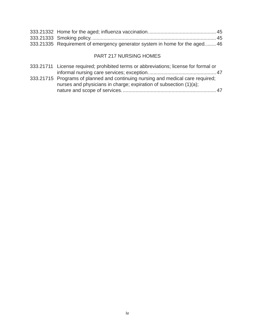| 333.21335 Requirement of emergency generator system in home for the aged 46 |
|-----------------------------------------------------------------------------|

## PART 217 NURSING HOMES

| 333.21711 License required; prohibited terms or abbreviations; license for formal or                                                                 |  |
|------------------------------------------------------------------------------------------------------------------------------------------------------|--|
|                                                                                                                                                      |  |
| 333.21715 Programs of planned and continuing nursing and medical care required;<br>nurses and physicians in charge; expiration of subsection (1)(a); |  |
|                                                                                                                                                      |  |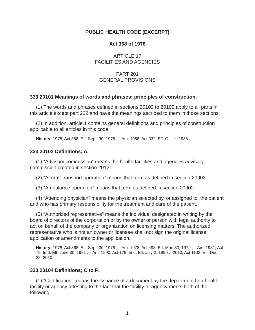## **PUBLIC HEALTH CODE (EXCERPT)**

#### **Act 368 of 1978**

ARTICLE 17 FACILITIES AND AGENCIES

## PART 201 GENERAL PROVISIONS

#### **333.20101 Meanings of words and phrases; principles of construction.**

(1) The words and phrases defined in sections 20102 to 20109 apply to all parts in this article except part 222 and have the meanings ascribed to them in those sections.

(2) In addition, article 1 contains general definitions and principles of construction applicable to all articles in this code.

**History:** 1978, Act 368, Eff. Sept. 30, 1978 ;—Am. 1988, Act 332, Eff. Oct. 1, 1988.

#### **333.20102 Defi nitions; A.**

(1) "Advisory commission" means the health facilities and agencies advisory commission created in section 20121.

(2) "Aircraft transport operation" means that term as defined in section 20902.

(3) "Ambulance operation" means that term as defined in section 20902.

(4) "Attending physician" means the physician selected by, or assigned to, the patient and who has primary responsibility for the treatment and care of the patient.

(5) "Authorized representative" means the individual designated in writing by the board of directors of the corporation or by the owner or person with legal authority to act on behalf of the company or organization on licensing matters. The authorized representative who is not an owner or licensee shall not sign the original license application or amendments to the application.

**History:** 1978, Act 368, Eff. Sept. 30, 1978 ;—Am. 1978, Act 493, Eff. Mar. 30, 1979 ;—Am. 1981, Act 79, Imd. Eff. June 30, 1981 ;—Am. 1990, Act 179, Imd. Eff. July 2, 1990 ;--2010, Act 1102, Eff. Dec. 22, 2010.

#### **333.20104 Defi nitions; C to F.**

 $(1)$  "Certification" means the issuance of a document by the department to a health facility or agency attesting to the fact that the facility or agency meets both of the following: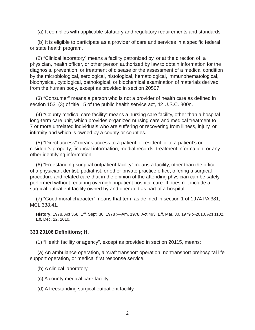(a) It complies with applicable statutory and regulatory requirements and standards.

(b) It is eligible to participate as a provider of care and services in a specific federal or state health program.

(2) "Clinical laboratory" means a facility patronized by, or at the direction of, a physician, health officer, or other person authorized by law to obtain information for the diagnosis, prevention, or treatment of disease or the assessment of a medical condition by the microbiological, serological, histological, hematological, immunohematological, biophysical, cytological, pathological, or biochemical examination of materials derived from the human body, except as provided in section 20507.

(3) "Consumer" means a person who is not a provider of health care as defined in section 1531(3) of title 15 of the public health service act, 42 U.S.C. 300n.

(4) "County medical care facility" means a nursing care facility, other than a hospital long-term care unit, which provides organized nursing care and medical treatment to 7 or more unrelated individuals who are suffering or recovering from illness, injury, or infirmity and which is owned by a county or counties.

(5) "Direct access" means access to a patient or resident or to a patient's or resident's property, financial information, medial records, treatment information, or any other identifying information.

(6) "Freestanding surgical outpatient facility" means a facility, other than the office of a physician, dentist, podiatrist, or other private practice office, offering a surgical procedure and related care that in the opinion of the attending physician can be safely performed without requiring overnight inpatient hospital care. It does not include a surgical outpatient facility owned by and operated as part of a hospital.

(7) "Good moral character" means that term as defined in section 1 of 1974 PA 381, MCL 338.41.

**History:** 1978, Act 368, Eff. Sept. 30, 1978 ;—Am. 1978, Act 493, Eff. Mar. 30, 1979 ;--2010, Act 1102, Eff. Dec. 22, 2010.

#### **333.20106 Defi nitions; H.**

(1) "Health facility or agency", except as provided in section 20115, means:

(a) An ambulance operation, aircraft transport operation, nontransport prehospital life support operation, or medical first response service.

(b) A clinical laboratory.

(c) A county medical care facility.

(d) A freestanding surgical outpatient facility.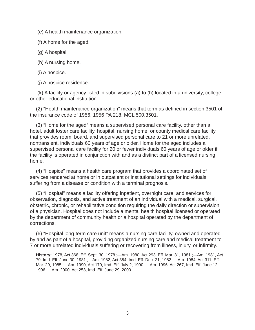(e) A health maintenance organization.

(f) A home for the aged.

(g) A hospital.

(h) A nursing home.

(i) A hospice.

(j) A hospice residence.

(k) A facility or agency listed in subdivisions (a) to (h) located in a university, college, or other educational institution.

(2) "Health maintenance organization" means that term as defined in section 3501 of the insurance code of 1956, 1956 PA 218, MCL 500.3501.

(3) "Home for the aged" means a supervised personal care facility, other than a hotel, adult foster care facility, hospital, nursing home, or county medical care facility that provides room, board, and supervised personal care to 21 or more unrelated, nontransient, individuals 60 years of age or older. Home for the aged includes a supervised personal care facility for 20 or fewer individuals 60 years of age or older if the facility is operated in conjunction with and as a distinct part of a licensed nursing home.

(4) "Hospice" means a health care program that provides a coordinated set of services rendered at home or in outpatient or institutional settings for individuals suffering from a disease or condition with a terminal prognosis.

(5) "Hospital" means a facility offering inpatient, overnight care, and services for observation, diagnosis, and active treatment of an individual with a medical, surgical, obstetric, chronic, or rehabilitative condition requiring the daily direction or supervision of a physician. Hospital does not include a mental health hospital licensed or operated by the department of community health or a hospital operated by the department of corrections.

(6) "Hospital long-term care unit" means a nursing care facility, owned and operated by and as part of a hospital, providing organized nursing care and medical treatment to 7 or more unrelated individuals suffering or recovering from illness, injury, or infirmity.

**History:** 1978, Act 368, Eff. Sept. 30, 1978 ;—Am. 1980, Act 293, Eff. Mar. 31, 1981 ;—Am. 1981, Act 79, Imd. Eff. June 30, 1981 ;—Am. 1982, Act 354, Imd. Eff. Dec. 21, 1982 ;—Am. 1984, Act 311, Eff. Mar. 29, 1985 ;—Am. 1990, Act 179, Imd. Eff. July 2, 1990 ;—Am. 1996, Act 267, Imd. Eff. June 12, 1996 ;—Am. 2000, Act 253, Imd. Eff. June 29, 2000.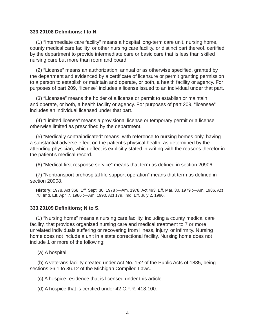#### **333.20108 Defi nitions; I to N.**

(1) "Intermediate care facility" means a hospital long-term care unit, nursing home, county medical care facility, or other nursing care facility, or distinct part thereof, certified by the department to provide intermediate care or basic care that is less than skilled nursing care but more than room and board.

 $(2)$  "License" means an authorization, annual or as otherwise specified, granted by the department and evidenced by a certificate of licensure or permit granting permission to a person to establish or maintain and operate, or both, a health facility or agency. For purposes of part 209, "license" includes a license issued to an individual under that part.

(3) "Licensee" means the holder of a license or permit to establish or maintain and operate, or both, a health facility or agency. For purposes of part 209, "licensee" includes an individual licensed under that part.

(4) "Limited license" means a provisional license or temporary permit or a license otherwise limited as prescribed by the department.

(5) "Medically contraindicated" means, with reference to nursing homes only, having a substantial adverse effect on the patient's physical health, as determined by the attending physician, which effect is explicitly stated in writing with the reasons therefor in the patient's medical record.

(6) "Medical first response service" means that term as defined in section 20906.

(7) "Nontransport prehospital life support operation" means that term as defined in section 20908.

**History:** 1978, Act 368, Eff. Sept. 30, 1978 ;—Am. 1978, Act 493, Eff. Mar. 30, 1979 ;—Am. 1986, Act 78, Imd. Eff. Apr. 7, 1986 ;—Am. 1990, Act 179, Imd. Eff. July 2, 1990.

#### **333.20109 Defi nitions; N to S.**

(1) "Nursing home" means a nursing care facility, including a county medical care facility, that provides organized nursing care and medical treatment to 7 or more unrelated individuals suffering or recovering from illness, injury, or infirmity. Nursing home does not include a unit in a state correctional facility. Nursing home does not include 1 or more of the following:

(a) A hospital.

(b) A veterans facility created under Act No. 152 of the Public Acts of 1885, being sections 36.1 to 36.12 of the Michigan Compiled Laws.

(c) A hospice residence that is licensed under this article.

 $(d)$  A hospice that is certified under 42 C.F.R. 418.100.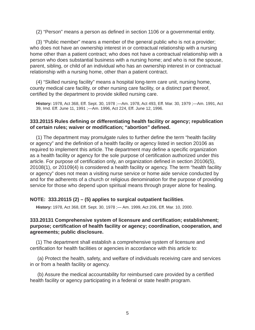(2) "Person" means a person as defined in section 1106 or a governmental entity.

(3) "Public member" means a member of the general public who is not a provider; who does not have an ownership interest in or contractual relationship with a nursing home other than a patient contract; who does not have a contractual relationship with a person who does substantial business with a nursing home; and who is not the spouse, parent, sibling, or child of an individual who has an ownership interest in or contractual relationship with a nursing home, other than a patient contract.

(4) "Skilled nursing facility" means a hospital long-term care unit, nursing home, county medical care facility, or other nursing care facility, or a distinct part thereof, certified by the department to provide skilled nursing care.

**History:** 1978, Act 368, Eff. Sept. 30, 1978 ;—Am. 1978, Act 493, Eff. Mar. 30, 1979 ;—Am. 1991, Act 39, Imd. Eff. June 11, 1991 ;—Am. 1996, Act 224, Eff. June 12, 1996.

#### **333.20115 Rules defi ning or differentiating health facility or agency; republication of certain rules; waiver or modifi cation; "abortion" defi ned.**

(1) The department may promulgate rules to further define the term "health facility or agency" and the definition of a health facility or agency listed in section 20106 as required to implement this article. The department may define a specific organization as a health facility or agency for the sole purpose of certification authorized under this article. For purpose of certification only, an organization defined in section 20106(5), 20108(1), or 20109(4) is considered a health facility or agency. The term "health facility or agency" does not mean a visiting nurse service or home aide service conducted by and for the adherents of a church or religious denomination for the purpose of providing service for those who depend upon spiritual means through prayer alone for healing.

#### **NOTE: 333.20115 (2) – (5) applies to surgical outpatient facilities**.

**History:** 1978, Act 368, Eff. Sept. 30, 1978 ;— Am. 1999, Act 206, Eff. Mar. 10, 2000.

#### **333.20131 Comprehensive system of licensure and certifi cation; establishment; purpose; certifi cation of health facility or agency; coordination, cooperation, and agreements; public disclosure.**

(1) The department shall establish a comprehensive system of licensure and certification for health facilities or agencies in accordance with this article to:

(a) Protect the health, safety, and welfare of individuals receiving care and services in or from a health facility or agency.

(b) Assure the medical accountability for reimbursed care provided by a certified health facility or agency participating in a federal or state health program.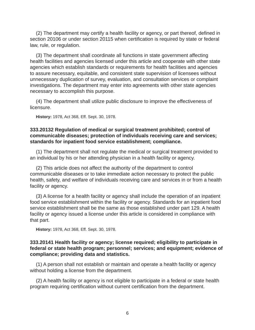(2) The department may certify a health facility or agency, or part thereof, defined in section 20106 or under section 20115 when certification is required by state or federal law, rule, or regulation.

(3) The department shall coordinate all functions in state government affecting health facilities and agencies licensed under this article and cooperate with other state agencies which establish standards or requirements for health facilities and agencies to assure necessary, equitable, and consistent state supervision of licensees without unnecessary duplication of survey, evaluation, and consultation services or complaint investigations. The department may enter into agreements with other state agencies necessary to accomplish this purpose.

(4) The department shall utilize public disclosure to improve the effectiveness of licensure.

**History:** 1978, Act 368, Eff. Sept. 30, 1978.

#### **333.20132 Regulation of medical or surgical treatment prohibited; control of communicable diseases; protection of individuals receiving care and services; standards for inpatient food service establishment; compliance.**

(1) The department shall not regulate the medical or surgical treatment provided to an individual by his or her attending physician in a health facility or agency.

(2) This article does not affect the authority of the department to control communicable diseases or to take immediate action necessary to protect the public health, safety, and welfare of individuals receiving care and services in or from a health facility or agency.

(3) A license for a health facility or agency shall include the operation of an inpatient food service establishment within the facility or agency. Standards for an inpatient food service establishment shall be the same as those established under part 129. A health facility or agency issued a license under this article is considered in compliance with that part.

**History:** 1978, Act 368, Eff. Sept. 30, 1978.

#### **333.20141 Health facility or agency; license required; eligibility to participate in federal or state health program; personnel; services; and equipment; evidence of compliance; providing data and statistics.**

(1) A person shall not establish or maintain and operate a health facility or agency without holding a license from the department.

(2) A health facility or agency is not eligible to participate in a federal or state health program requiring certification without current certification from the department.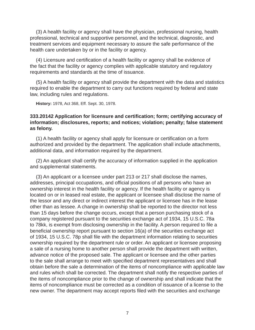(3) A health facility or agency shall have the physician, professional nursing, health professional, technical and supportive personnel, and the technical, diagnostic, and treatment services and equipment necessary to assure the safe performance of the health care undertaken by or in the facility or agency.

(4) Licensure and certification of a health facility or agency shall be evidence of the fact that the facility or agency complies with applicable statutory and regulatory requirements and standards at the time of issuance.

(5) A health facility or agency shall provide the department with the data and statistics required to enable the department to carry out functions required by federal and state law, including rules and regulations.

**History:** 1978, Act 368, Eff. Sept. 30, 1978.

## **333.20142 Application for licensure and certifi cation; form; certifying accuracy of information; disclosures, reports; and notices; violation; penalty; false statement as felony.**

(1) A health facility or agency shall apply for licensure or certification on a form authorized and provided by the department. The application shall include attachments, additional data, and information required by the department.

(2) An applicant shall certify the accuracy of information supplied in the application and supplemental statements.

(3) An applicant or a licensee under part 213 or 217 shall disclose the names, addresses, principal occupations, and official positions of all persons who have an ownership interest in the health facility or agency. If the health facility or agency is located on or in leased real estate, the applicant or licensee shall disclose the name of the lessor and any direct or indirect interest the applicant or licensee has in the lease other than as lessee. A change in ownership shall be reported to the director not less than 15 days before the change occurs, except that a person purchasing stock of a company registered pursuant to the securities exchange act of 1934, 15 U.S.C. 78a to 78kk, is exempt from disclosing ownership in the facility. A person required to file a beneficial ownership report pursuant to section  $16(a)$  of the securities exchange act of 1934, 15 U.S.C. 78p shall file with the department information relating to securities ownership required by the department rule or order. An applicant or licensee proposing a sale of a nursing home to another person shall provide the department with written, advance notice of the proposed sale. The applicant or licensee and the other parties to the sale shall arrange to meet with specified department representatives and shall obtain before the sale a determination of the items of noncompliance with applicable law and rules which shall be corrected. The department shall notify the respective parties of the items of noncompliance prior to the change of ownership and shall indicate that the items of noncompliance must be corrected as a condition of issuance of a license to the new owner. The department may accept reports filed with the securities and exchange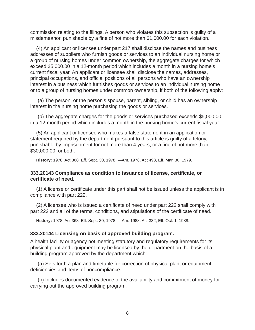commission relating to the filings. A person who violates this subsection is guilty of a misdemeanor, punishable by a fine of not more than \$1,000.00 for each violation.

(4) An applicant or licensee under part 217 shall disclose the names and business addresses of suppliers who furnish goods or services to an individual nursing home or a group of nursing homes under common ownership, the aggregate charges for which exceed \$5,000.00 in a 12-month period which includes a month in a nursing home's current fiscal year. An applicant or licensee shall disclose the names, addresses, principal occupations, and official positions of all persons who have an ownership interest in a business which furnishes goods or services to an individual nursing home or to a group of nursing homes under common ownership, if both of the following apply:

(a) The person, or the person's spouse, parent, sibling, or child has an ownership interest in the nursing home purchasing the goods or services.

(b) The aggregate charges for the goods or services purchased exceeds \$5,000.00 in a 12-month period which includes a month in the nursing home's current fiscal year.

(5) An applicant or licensee who makes a false statement in an application or statement required by the department pursuant to this article is guilty of a felony, punishable by imprisonment for not more than 4 years, or a fine of not more than \$30,000.00, or both.

**History:** 1978, Act 368, Eff. Sept. 30, 1978 ;—Am. 1978, Act 493, Eff. Mar. 30, 1979.

#### **333.20143 Compliance as condition to issuance of license, certifi cate, or certifi cate of need.**

(1) A license or certificate under this part shall not be issued unless the applicant is in compliance with part 222.

 $(2)$  A licensee who is issued a certificate of need under part 222 shall comply with part 222 and all of the terms, conditions, and stipulations of the certificate of need.

**History:** 1978, Act 368, Eff. Sept. 30, 1978 ;—Am. 1988, Act 332, Eff. Oct. 1, 1988.

#### **333.20144 Licensing on basis of approved building program.**

A health facility or agency not meeting statutory and regulatory requirements for its physical plant and equipment may be licensed by the department on the basis of a building program approved by the department which:

(a) Sets forth a plan and timetable for correction of physical plant or equipment deficiencies and items of noncompliance.

(b) Includes documented evidence of the availability and commitment of money for carrying out the approved building program.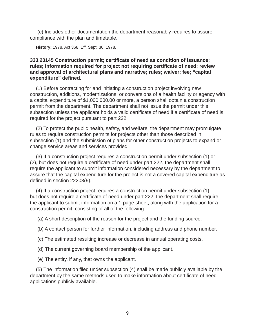(c) Includes other documentation the department reasonably requires to assure compliance with the plan and timetable.

**History:** 1978, Act 368, Eff. Sept. 30, 1978.

## **333.20145 Construction permit; certifi cate of need as condition of issuance;**  rules; information required for project not requiring certificate of need; review **and approval of architectural plans and narrative; rules; waiver; fee; "capital expenditure" defi ned.**

(1) Before contracting for and initiating a construction project involving new construction, additions, modernizations, or conversions of a health facility or agency with a capital expenditure of \$1,000,000.00 or more, a person shall obtain a construction permit from the department. The department shall not issue the permit under this subsection unless the applicant holds a valid certificate of need if a certificate of need is required for the project pursuant to part 222.

(2) To protect the public health, safety, and welfare, the department may promulgate rules to require construction permits for projects other than those described in subsection (1) and the submission of plans for other construction projects to expand or change service areas and services provided.

(3) If a construction project requires a construction permit under subsection (1) or (2), but does not require a certificate of need under part 222, the department shall require the applicant to submit information considered necessary by the department to assure that the capital expenditure for the project is not a covered capital expenditure as defined in section 22203(9).

(4) If a construction project requires a construction permit under subsection (1), but does not require a certificate of need under part 222, the department shall require the applicant to submit information on a 1-page sheet, along with the application for a construction permit, consisting of all of the following:

(a) A short description of the reason for the project and the funding source.

(b) A contact person for further information, including address and phone number.

(c) The estimated resulting increase or decrease in annual operating costs.

(d) The current governing board membership of the applicant.

(e) The entity, if any, that owns the applicant.

(5) The information filed under subsection (4) shall be made publicly available by the department by the same methods used to make information about certificate of need applications publicly available.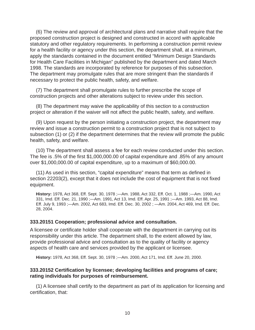(6) The review and approval of architectural plans and narrative shall require that the proposed construction project is designed and constructed in accord with applicable statutory and other regulatory requirements. In performing a construction permit review for a health facility or agency under this section, the department shall, at a minimum, apply the standards contained in the document entitled "Minimum Design Standards for Health Care Facilities in Michigan" published by the department and dated March 1998. The standards are incorporated by reference for purposes of this subsection. The department may promulgate rules that are more stringent than the standards if necessary to protect the public health, safety, and welfare.

(7) The department shall promulgate rules to further prescribe the scope of construction projects and other alterations subject to review under this section.

(8) The department may waive the applicability of this section to a construction project or alteration if the waiver will not affect the public health, safety, and welfare.

(9) Upon request by the person initiating a construction project, the department may review and issue a construction permit to a construction project that is not subject to subsection (1) or (2) if the department determines that the review will promote the public health, safety, and welfare.

(10) The department shall assess a fee for each review conducted under this section. The fee is .5% of the first \$1,000,000.00 of capital expenditure and .85% of any amount over \$1,000,000.00 of capital expenditure, up to a maximum of \$60,000.00.

(11) As used in this section, "capital expenditure" means that term as defined in section 22203(2), except that it does not include the cost of equipment that is not fixed equipment.

**History:** 1978, Act 368, Eff. Sept. 30, 1978 ;—Am. 1988, Act 332, Eff. Oct. 1, 1988 ;—Am. 1990, Act 331, Imd. Eff. Dec. 21, 1990 ;—Am. 1991, Act 13, Imd. Eff. Apr. 25, 1991 ;—Am. 1993, Act 88, Imd. Eff. July 9, 1993 ;—Am. 2002, Act 683, Imd. Eff. Dec. 30, 2002 ; —Am. 2004, Act 469, Imd. Eff. Dec. 28, 2004.

#### **333.20151 Cooperation; professional advice and consultation.**

A licensee or certificate holder shall cooperate with the department in carrying out its responsibility under this article. The department shall, to the extent allowed by law, provide professional advice and consultation as to the quality of facility or agency aspects of health care and services provided by the applicant or licensee.

**History:** 1978, Act 368, Eff. Sept. 30, 1978 ;—Am. 2000, Act 171, Imd. Eff. June 20, 2000.

#### **333.20152 Certifi cation by licensee; developing facilities and programs of care; rating individuals for purposes of reimbursement.**

(1) A licensee shall certify to the department as part of its application for licensing and certification, that: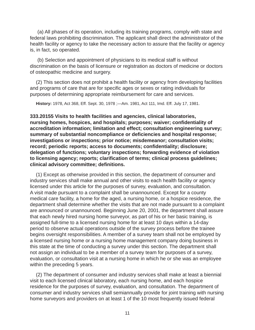(a) All phases of its operation, including its training programs, comply with state and federal laws prohibiting discrimination. The applicant shall direct the administrator of the health facility or agency to take the necessary action to assure that the facility or agency is, in fact, so operated.

(b) Selection and appointment of physicians to its medical staff is without discrimination on the basis of licensure or registration as doctors of medicine or doctors of osteopathic medicine and surgery.

(2) This section does not prohibit a health facility or agency from developing facilities and programs of care that are for specific ages or sexes or rating individuals for purposes of determining appropriate reimbursement for care and services.

**History:** 1978, Act 368, Eff. Sept. 30, 1978 ;—Am. 1981, Act 111, Imd. Eff. July 17, 1981.

**333.20155 Visits to health facilities and agencies, clinical laboratories, nursing homes, hospices, and hospitals; purposes; waiver; confi dentiality of accreditation information; limitation and effect; consultation engineering survey;**  summary of substantial noncompliance or deficiencies and hospital response; **investigations or inspections; prior notice; misdemeanor; consultation visits;**  record; periodic reports; access to documents; confidentiality; disclosure; **delegation of functions; voluntary inspections; forwarding evidence of violation to licensing agency; reports; clarifi cation of terms; clinical process guidelines; clinical advisory committee; defi nitions.** 

(1) Except as otherwise provided in this section, the department of consumer and industry services shall make annual and other visits to each health facility or agency licensed under this article for the purposes of survey, evaluation, and consultation. A visit made pursuant to a complaint shall be unannounced. Except for a county medical care facility, a home for the aged, a nursing home, or a hospice residence, the department shall determine whether the visits that are not made pursuant to a complaint are announced or unannounced. Beginning June 20, 2001, the department shall assure that each newly hired nursing home surveyor, as part of his or her basic training, is assigned full-time to a licensed nursing home for at least 10 days within a 14-day period to observe actual operations outside of the survey process before the trainee begins oversight responsibilities. A member of a survey team shall not be employed by a licensed nursing home or a nursing home management company doing business in this state at the time of conducting a survey under this section. The department shall not assign an individual to be a member of a survey team for purposes of a survey, evaluation, or consultation visit at a nursing home in which he or she was an employee within the preceding 5 years.

(2) The department of consumer and industry services shall make at least a biennial visit to each licensed clinical laboratory, each nursing home, and each hospice residence for the purposes of survey, evaluation, and consultation. The department of consumer and industry services shall semiannually provide for joint training with nursing home surveyors and providers on at least 1 of the 10 most frequently issued federal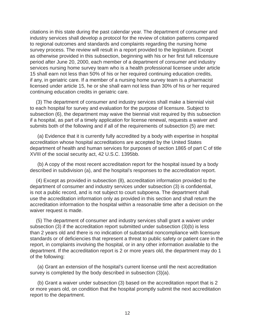citations in this state during the past calendar year. The department of consumer and industry services shall develop a protocol for the review of citation patterns compared to regional outcomes and standards and complaints regarding the nursing home survey process. The review will result in a report provided to the legislature. Except as otherwise provided in this subsection, beginning with his or her first full relicensure period after June 20, 2000, each member of a department of consumer and industry services nursing home survey team who is a health professional licensee under article 15 shall earn not less than 50% of his or her required continuing education credits, if any, in geriatric care. If a member of a nursing home survey team is a pharmacist licensed under article 15, he or she shall earn not less than 30% of his or her required continuing education credits in geriatric care.

(3) The department of consumer and industry services shall make a biennial visit to each hospital for survey and evaluation for the purpose of licensure. Subject to subsection (6), the department may waive the biennial visit required by this subsection if a hospital, as part of a timely application for license renewal, requests a waiver and submits both of the following and if all of the requirements of subsection (5) are met:

(a) Evidence that it is currently fully accredited by a body with expertise in hospital accreditation whose hospital accreditations are accepted by the United States department of health and human services for purposes of section 1865 of part C of title XVIII of the social security act, 42 U.S.C. 1395bb.

(b) A copy of the most recent accreditation report for the hospital issued by a body described in subdivision (a), and the hospital's responses to the accreditation report.

(4) Except as provided in subsection (8), accreditation information provided to the department of consumer and industry services under subsection (3) is confidential, is not a public record, and is not subject to court subpoena. The department shall use the accreditation information only as provided in this section and shall return the accreditation information to the hospital within a reasonable time after a decision on the waiver request is made.

(5) The department of consumer and industry services shall grant a waiver under subsection (3) if the accreditation report submitted under subsection (3)(b) is less than 2 years old and there is no indication of substantial noncompliance with licensure standards or of deficiencies that represent a threat to public safety or patient care in the report, in complaints involving the hospital, or in any other information available to the department. If the accreditation report is 2 or more years old, the department may do 1 of the following:

(a) Grant an extension of the hospital's current license until the next accreditation survey is completed by the body described in subsection (3)(a).

(b) Grant a waiver under subsection (3) based on the accreditation report that is 2 or more years old, on condition that the hospital promptly submit the next accreditation report to the department.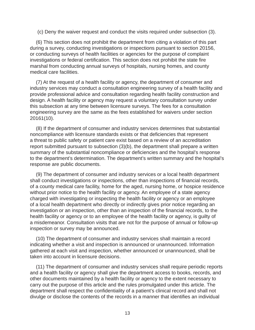(c) Deny the waiver request and conduct the visits required under subsection (3).

(6) This section does not prohibit the department from citing a violation of this part during a survey, conducting investigations or inspections pursuant to section 20156, or conducting surveys of health facilities or agencies for the purpose of complaint investigations or federal certification. This section does not prohibit the state fire marshal from conducting annual surveys of hospitals, nursing homes, and county medical care facilities.

(7) At the request of a health facility or agency, the department of consumer and industry services may conduct a consultation engineering survey of a health facility and provide professional advice and consultation regarding health facility construction and design. A health facility or agency may request a voluntary consultation survey under this subsection at any time between licensure surveys. The fees for a consultation engineering survey are the same as the fees established for waivers under section 20161(10).

(8) If the department of consumer and industry services determines that substantial noncompliance with licensure standards exists or that deficiencies that represent a threat to public safety or patient care exist based on a review of an accreditation report submitted pursuant to subsection (3)(b), the department shall prepare a written summary of the substantial noncompliance or deficiencies and the hospital's response to the department's determination. The department's written summary and the hospital's response are public documents.

(9) The department of consumer and industry services or a local health department shall conduct investigations or inspections, other than inspections of financial records, of a county medical care facility, home for the aged, nursing home, or hospice residence without prior notice to the health facility or agency. An employee of a state agency charged with investigating or inspecting the health facility or agency or an employee of a local health department who directly or indirectly gives prior notice regarding an investigation or an inspection, other than an inspection of the financial records, to the health facility or agency or to an employee of the health facility or agency, is guilty of a misdemeanor. Consultation visits that are not for the purpose of annual or follow-up inspection or survey may be announced.

(10) The department of consumer and industry services shall maintain a record indicating whether a visit and inspection is announced or unannounced. Information gathered at each visit and inspection, whether announced or unannounced, shall be taken into account in licensure decisions.

(11) The department of consumer and industry services shall require periodic reports and a health facility or agency shall give the department access to books, records, and other documents maintained by a health facility or agency to the extent necessary to carry out the purpose of this article and the rules promulgated under this article. The department shall respect the confidentiality of a patient's clinical record and shall not divulge or disclose the contents of the records in a manner that identifies an individual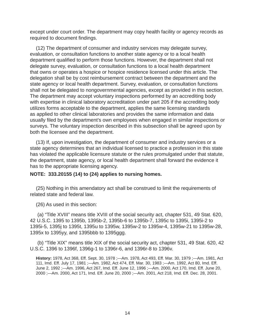except under court order. The department may copy health facility or agency records as required to document findings.

(12) The department of consumer and industry services may delegate survey, evaluation, or consultation functions to another state agency or to a local health department qualified to perform those functions. However, the department shall not delegate survey, evaluation, or consultation functions to a local health department that owns or operates a hospice or hospice residence licensed under this article. The delegation shall be by cost reimbursement contract between the department and the state agency or local health department. Survey, evaluation, or consultation functions shall not be delegated to nongovernmental agencies, except as provided in this section. The department may accept voluntary inspections performed by an accrediting body with expertise in clinical laboratory accreditation under part 205 if the accrediting body utilizes forms acceptable to the department, applies the same licensing standards as applied to other clinical laboratories and provides the same information and data usually filed by the department's own employees when engaged in similar inspections or surveys. The voluntary inspection described in this subsection shall be agreed upon by both the licensee and the department.

(13) If, upon investigation, the department of consumer and industry services or a state agency determines that an individual licensed to practice a profession in this state has violated the applicable licensure statute or the rules promulgated under that statute, the department, state agency, or local health department shall forward the evidence it has to the appropriate licensing agency.

#### **NOTE: 333.20155 (14) to (24) applies to nursing homes.**

(25) Nothing in this amendatory act shall be construed to limit the requirements of related state and federal law.

(26) As used in this section:

(a) "Title XVIII" means title XVIII of the social security act, chapter 531, 49 Stat. 620, 42 U.S.C. 1395 to 1395b, 1395b-2, 1395b-6 to 1395b-7, 1395c to 1395i, 1395i-2 to 1395i-5, 1395j to 1395t, 1395u to 1395w, 1395w-2 to 1395w-4, 1395w-21 to 1395w-28, 1395x to 1395yy, and 1395bbb to 1395ggg.

(b) "Title XIX" means title XIX of the social security act, chapter 531, 49 Stat. 620, 42 U.S.C. 1396 to 1396f, 1396g-1 to 1396r-6, and 1396r-8 to 1396v.

**History:** 1978, Act 368, Eff. Sept. 30, 1978 ;—Am. 1978, Act 493, Eff. Mar. 30, 1979 ;—Am. 1981, Act 111, Imd. Eff. July 17, 1981 ;—Am. 1982, Act 474, Eff. Mar. 30, 1983 ;—Am. 1992, Act 80, Imd. Eff. June 2, 1992 ;—Am. 1996, Act 267, Imd. Eff. June 12, 1996 ;—Am. 2000, Act 170, Imd. Eff. June 20, 2000 ;—Am. 2000, Act 171, Imd. Eff. June 20, 2000 ;—Am. 2001, Act 218, Imd. Eff. Dec. 28, 2001.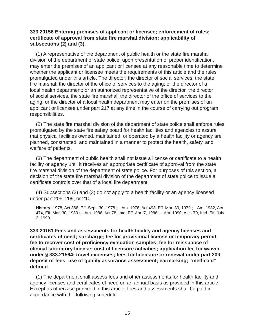#### **333.20156 Entering premises of applicant or licensee; enforcement of rules; certifi cate of approval from state fi re marshal division; applicability of subsections (2) and (3).**

(1) A representative of the department of public health or the state fire marshal division of the department of state police, upon presentation of proper identification, may enter the premises of an applicant or licensee at any reasonable time to determine whether the applicant or licensee meets the requirements of this article and the rules promulgated under this article. The director; the director of social services; the state fire marshal; the director of the office of services to the aging; or the director of a local health department; or an authorized representative of the director, the director of social services, the state fire marshal, the director of the office of services to the aging, or the director of a local health department may enter on the premises of an applicant or licensee under part 217 at any time in the course of carrying out program responsibilities.

(2) The state fire marshal division of the department of state police shall enforce rules promulgated by the state fire safety board for health facilities and agencies to assure that physical facilities owned, maintained, or operated by a health facility or agency are planned, constructed, and maintained in a manner to protect the health, safety, and welfare of patients.

(3) The department of public health shall not issue a license or certificate to a health facility or agency until it receives an appropriate certificate of approval from the state fire marshal division of the department of state police. For purposes of this section, a decision of the state fire marshal division of the department of state police to issue a certificate controls over that of a local fire department.

(4) Subsections (2) and (3) do not apply to a health facility or an agency licensed under part 205, 209, or 210.

**History:** 1978, Act 368, Eff. Sept. 30, 1978 ;—Am. 1978, Act 493, Eff. Mar. 30, 1979 ;—Am. 1982, Act 474, Eff. Mar. 30, 1983 ;—Am. 1986, Act 78, Imd. Eff. Apr. 7, 1986 ;—Am. 1990, Act 179, Imd. Eff. July 2, 1990.

**333.20161 Fees and assessments for health facility and agency licenses and**  certificates of need; surcharge; fee for provisional license or temporary permit; **fee to recover cost of profi ciency evaluation samples; fee for reissuance of clinical laboratory license; cost of licensure activities; application fee for waiver under § 333.21564; travel expenses; fees for licensure or renewal under part 209; deposit of fees; use of quality assurance assessment; earmarking; "medicaid" defi ned.** 

(1) The department shall assess fees and other assessments for health facility and agency licenses and certificates of need on an annual basis as provided in this article. Except as otherwise provided in this article, fees and assessments shall be paid in accordance with the following schedule: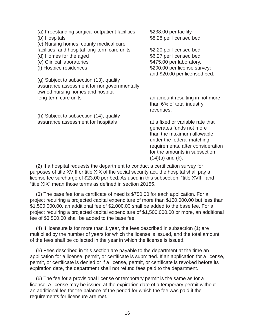| (a) Freestanding surgical outpatient facilities              | \$238.00 per facility.                        |
|--------------------------------------------------------------|-----------------------------------------------|
| (b) Hospitals                                                | \$8.28 per licensed bed.                      |
| (c) Nursing homes, county medical care                       |                                               |
| facilities, and hospital long-term care units                | \$2.20 per licensed bed.                      |
| (d) Homes for the aged                                       | \$6.27 per licensed bed.                      |
| (e) Clinical laboratories                                    | \$475.00 per laboratory.                      |
| (f) Hospice residences                                       | \$200.00 per license survey;                  |
|                                                              | and \$20.00 per licensed bed.                 |
| (g) Subject to subsection (13), quality                      |                                               |
| assurance assessment for nongovernmentally                   |                                               |
| owned nursing homes and hospital                             |                                               |
| long-term care units                                         | an amount resulting in not more               |
|                                                              | than 6% of total industry                     |
|                                                              | revenues.                                     |
| (h) Subject to subsection (14), quality                      |                                               |
| الملمان والمتماس والمتماس والمتحدث والمتحدث المتحدد والمستند | a tha filip a leas is subable to a the theath |

assurance assessment for hospitals at a fixed or variable rate that generates funds not more than the maximum allowable under the federal matching requirements, after consideration for the amounts in subsection  $(14)(a)$  and  $(k)$ .

 $(2)$  If a hospital requests the department to conduct a certification survey for purposes of title XVIII or title XIX of the social security act, the hospital shall pay a license fee surcharge of \$23.00 per bed. As used in this subsection, "title XVIII" and "title XIX" mean those terms as defined in section 20155.

 $(3)$  The base fee for a certificate of need is \$750.00 for each application. For a project requiring a projected capital expenditure of more than \$150,000.00 but less than \$1,500,000.00, an additional fee of \$2,000.00 shall be added to the base fee. For a project requiring a projected capital expenditure of \$1,500,000.00 or more, an additional fee of \$3,500.00 shall be added to the base fee.

(4) If licensure is for more than 1 year, the fees described in subsection (1) are multiplied by the number of years for which the license is issued, and the total amount of the fees shall be collected in the year in which the license is issued.

(5) Fees described in this section are payable to the department at the time an application for a license, permit, or certificate is submitted. If an application for a license, permit, or certificate is denied or if a license, permit, or certificate is revoked before its expiration date, the department shall not refund fees paid to the department.

(6) The fee for a provisional license or temporary permit is the same as for a license. A license may be issued at the expiration date of a temporary permit without an additional fee for the balance of the period for which the fee was paid if the requirements for licensure are met.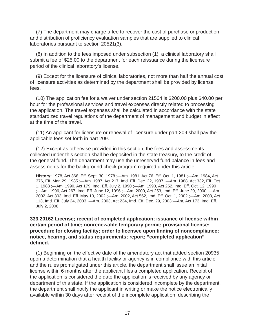(7) The department may charge a fee to recover the cost of purchase or production and distribution of proficiency evaluation samples that are supplied to clinical laboratories pursuant to section 20521(3).

(8) In addition to the fees imposed under subsection (1), a clinical laboratory shall submit a fee of \$25.00 to the department for each reissuance during the licensure period of the clinical laboratory's license.

(9) Except for the licensure of clinical laboratories, not more than half the annual cost of licensure activities as determined by the department shall be provided by license fees.

(10) The application fee for a waiver under section 21564 is \$200.00 plus \$40.00 per hour for the professional services and travel expenses directly related to processing the application. The travel expenses shall be calculated in accordance with the state standardized travel regulations of the department of management and budget in effect at the time of the travel.

(11) An applicant for licensure or renewal of licensure under part 209 shall pay the applicable fees set forth in part 209.

(12) Except as otherwise provided in this section, the fees and assessments collected under this section shall be deposited in the state treasury, to the credit of the general fund. The department may use the unreserved fund balance in fees and assessments for the background check program required under this article.

**History:** 1978, Act 368, Eff. Sept. 30, 1978 ;—Am. 1981, Act 76, Eff. Oct. 1, 1981 ;—Am. 1984, Act 376, Eff. Mar. 29, 1985 ;—Am. 1987, Act 217, Imd. Eff. Dec. 22, 1987 ;—Am. 1988, Act 332, Eff. Oct. 1, 1988 ;—Am. 1990, Act 179, Imd. Eff. July 2, 1990 ;—Am. 1990, Act 252, Imd. Eff. Oct. 12, 1990 ;—Am. 1996, Act 267, Imd. Eff. June 12, 1996 ;—Am. 2000, Act 253, Imd. Eff. June 29, 2000 ;—Am. 2002, Act 303, Imd. Eff. May 10, 2002 ;—Am. 2002, Act 562, Imd. Eff. Oct. 1, 2002 ;—Am. 2003, Act 113, Imd. Eff. July 24, 2003 ;—Am. 2003, Act 234, Imd. Eff. Dec. 29, 2003;—Am, Act 173, Imd. Eff. July 2, 2008.

## **333.20162 License; receipt of completed application; issuance of license within certain period of time; nonrenewable temporary permit; provisional license; procedure for closing facility; order to licensee upon finding of noncompliance; notice, hearing, and status requirements; report; "completed application" defi ned.**

(1) Beginning on the effective date of the amendatory act that added section 20935, upon a determination that a health facility or agency is in compliance with this article and the rules promulgated under this article, the department shall issue an initial license within 6 months after the applicant files a completed application. Receipt of the application is considered the date the application is received by any agency or department of this state. If the application is considered incomplete by the department, the department shall notify the applicant in writing or make the notice electronically available within 30 days after receipt of the incomplete application, describing the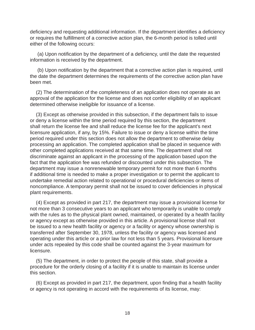deficiency and requesting additional information. If the department identifies a deficiency or requires the fulfillment of a corrective action plan, the 6-month period is tolled until either of the following occurs:

(a) Upon notification by the department of a deficiency, until the date the requested information is received by the department.

(b) Upon notification by the department that a corrective action plan is required, until the date the department determines the requirements of the corrective action plan have been met.

(2) The determination of the completeness of an application does not operate as an approval of the application for the license and does not confer eligibility of an applicant determined otherwise ineligible for issuance of a license.

(3) Except as otherwise provided in this subsection, if the department fails to issue or deny a license within the time period required by this section, the department shall return the license fee and shall reduce the license fee for the applicant's next licensure application, if any, by 15%. Failure to issue or deny a license within the time period required under this section does not allow the department to otherwise delay processing an application. The completed application shall be placed in sequence with other completed applications received at that same time. The department shall not discriminate against an applicant in the processing of the application based upon the fact that the application fee was refunded or discounted under this subsection. The department may issue a nonrenewable temporary permit for not more than 6 months if additional time is needed to make a proper investigation or to permit the applicant to undertake remedial action related to operational or procedural deficiencies or items of noncompliance. A temporary permit shall not be issued to cover deficiencies in physical plant requirements.

(4) Except as provided in part 217, the department may issue a provisional license for not more than 3 consecutive years to an applicant who temporarily is unable to comply with the rules as to the physical plant owned, maintained, or operated by a health facility or agency except as otherwise provided in this article. A provisional license shall not be issued to a new health facility or agency or a facility or agency whose ownership is transferred after September 30, 1978, unless the facility or agency was licensed and operating under this article or a prior law for not less than 5 years. Provisional licensure under acts repealed by this code shall be counted against the 3-year maximum for licensure.

(5) The department, in order to protect the people of this state, shall provide a procedure for the orderly closing of a facility if it is unable to maintain its license under this section.

(6) Except as provided in part 217, the department, upon finding that a health facility or agency is not operating in accord with the requirements of its license, may: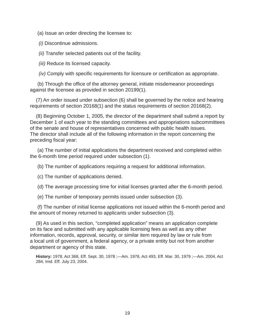(a) Issue an order directing the licensee to:

*(i)* Discontinue admissions.

*(ii)* Transfer selected patients out of the facility.

*(iii)* Reduce its licensed capacity.

*(iv)* Comply with specific requirements for licensure or certification as appropriate.

(b) Through the office of the attorney general, initiate misdemeanor proceedings against the licensee as provided in section 20199(1).

(7) An order issued under subsection (6) shall be governed by the notice and hearing requirements of section 20168(1) and the status requirements of section 20168(2).

(8) Beginning October 1, 2005, the director of the department shall submit a report by December 1 of each year to the standing committees and appropriations subcommittees of the senate and house of representatives concerned with public health issues. The director shall include all of the following information in the report concerning the preceding fiscal year:

(a) The number of initial applications the department received and completed within the 6-month time period required under subsection (1).

(b) The number of applications requiring a request for additional information.

(c) The number of applications denied.

(d) The average processing time for initial licenses granted after the 6-month period.

(e) The number of temporary permits issued under subsection (3).

(f) The number of initial license applications not issued within the 6-month period and the amount of money returned to applicants under subsection (3).

(9) As used in this section, "completed application" means an application complete on its face and submitted with any applicable licensing fees as well as any other information, records, approval, security, or similar item required by law or rule from a local unit of government, a federal agency, or a private entity but not from another department or agency of this state.

**History:** 1978, Act 368, Eff. Sept. 30, 1978 ;—Am. 1978, Act 493, Eff. Mar. 30, 1979 ;—Am. 2004, Act 284, Imd. Eff. July 23, 2004.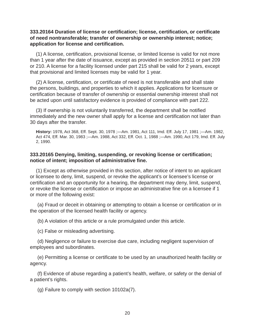#### **333.20164 Duration of license or certifi cation; license, certifi cation, or certifi cate of need nontransferable; transfer of ownership or ownership interest; notice; application for license and certifi cation.**

(1) A license, certification, provisional license, or limited license is valid for not more than 1 year after the date of issuance, except as provided in section 20511 or part 209 or 210. A license for a facility licensed under part 215 shall be valid for 2 years, except that provisional and limited licenses may be valid for 1 year.

(2) A license, certification, or certificate of need is not transferable and shall state the persons, buildings, and properties to which it applies. Applications for licensure or certification because of transfer of ownership or essential ownership interest shall not be acted upon until satisfactory evidence is provided of compliance with part 222.

(3) If ownership is not voluntarily transferred, the department shall be notified immediately and the new owner shall apply for a license and certification not later than 30 days after the transfer.

**History:** 1978, Act 368, Eff. Sept. 30, 1978 ;—Am. 1981, Act 111, Imd. Eff. July 17, 1981 ;—Am. 1982, Act 474, Eff. Mar. 30, 1983 ;—Am. 1988, Act 332, Eff. Oct. 1, 1988 ;—Am. 1990, Act 179, Imd. Eff. July 2, 1990.

#### **333.20165 Denying, limiting, suspending, or revoking license or certifi cation; notice of intent; imposition of administrative fi ne.**

(1) Except as otherwise provided in this section, after notice of intent to an applicant or licensee to deny, limit, suspend, or revoke the applicant's or licensee's license or certification and an opportunity for a hearing, the department may deny, limit, suspend, or revoke the license or certification or impose an administrative fine on a licensee if 1 or more of the following exist:

(a) Fraud or deceit in obtaining or attempting to obtain a license or certification or in the operation of the licensed health facility or agency.

(b) A violation of this article or a rule promulgated under this article.

(c) False or misleading advertising.

(d) Negligence or failure to exercise due care, including negligent supervision of employees and subordinates.

(e) Permitting a license or certificate to be used by an unauthorized health facility or agency.

(f) Evidence of abuse regarding a patient's health, welfare, or safety or the denial of a patient's rights.

(g) Failure to comply with section 10102a(7).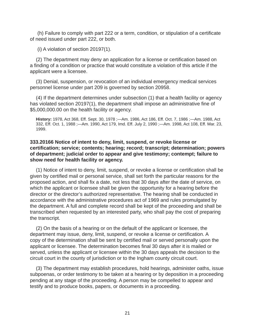(h) Failure to comply with part 222 or a term, condition, or stipulation of a certificate of need issued under part 222, or both.

(i) A violation of section 20197(1).

(2) The department may deny an application for a license or certification based on a finding of a condition or practice that would constitute a violation of this article if the applicant were a licensee.

(3) Denial, suspension, or revocation of an individual emergency medical services personnel license under part 209 is governed by section 20958.

(4) If the department determines under subsection (1) that a health facility or agency has violated section 20197(1), the department shall impose an administrative fine of \$5,000,000.00 on the health facility or agency.

**History:** 1978, Act 368, Eff. Sept. 30, 1978 ;—Am. 1986, Act 186, Eff. Oct. 7, 1986 ;—Am. 1988, Act 332, Eff. Oct. 1, 1988 ;—Am. 1990, Act 179, Imd. Eff. July 2, 1990 ;—Am. 1998, Act 108, Eff. Mar. 23, 1999.

### **333.20166 Notice of intent to deny, limit, suspend, or revoke license or certifi cation; service; contents; hearing; record; transcript; determination; powers of department; judicial order to appear and give testimony; contempt; failure to show need for health facility or agency.**

(1) Notice of intent to deny, limit, suspend, or revoke a license or certification shall be given by certified mail or personal service, shall set forth the particular reasons for the proposed action, and shall fix a date, not less that 30 days after the date of service, on which the applicant or licensee shall be given the opportunity for a hearing before the director or the director's authorized representative. The hearing shall be conducted in accordance with the administrative procedures act of 1969 and rules promulgated by the department. A full and complete record shall be kept of the proceeding and shall be transcribed when requested by an interested party, who shall pay the cost of preparing the transcript.

(2) On the basis of a hearing or on the default of the applicant or licensee, the department may issue, deny, limit, suspend, or revoke a license or certification. A copy of the determination shall be sent by certified mail or served personally upon the applicant or licensee. The determination becomes final 30 days after it is mailed or served, unless the applicant or licensee within the 30 days appeals the decision to the circuit court in the county of jurisdiction or to the Ingham county circuit court.

(3) The department may establish procedures, hold hearings, administer oaths, issue subpoenas, or order testimony to be taken at a hearing or by deposition in a proceeding pending at any stage of the proceeding. A person may be compelled to appear and testify and to produce books, papers, or documents in a proceeding.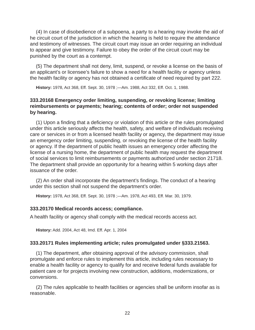(4) In case of disobedience of a subpoena, a party to a hearing may invoke the aid of he circuit court of the jurisdiction in which the hearing is held to require the attendance and testimony of witnesses. The circuit court may issue an order requiring an individual to appear and give testimony. Failure to obey the order of the circuit court may be punished by the court as a contempt.

(5) The department shall not deny, limit, suspend, or revoke a license on the basis of an applicant's or licensee's failure to show a need for a health facility or agency unless the health facility or agency has not obtained a certificate of need required by part 222.

**History:** 1978, Act 368, Eff. Sept. 30, 1978 ;—Am. 1988, Act 332, Eff. Oct. 1, 1988.

## **333.20168 Emergency order limiting, suspending, or revoking license; limiting reimbursements or payments; hearing; contents of order; order not suspended by hearing.**

(1) Upon a finding that a deficiency or violation of this article or the rules promulgated under this article seriously affects the health, safety, and welfare of individuals receiving care or services in or from a licensed health facility or agency, the department may issue an emergency order limiting, suspending, or revoking the license of the health facility or agency. If the department of public health issues an emergency order affecting the license of a nursing home, the department of public health may request the department of social services to limit reimbursements or payments authorized under section 21718. The department shall provide an opportunity for a hearing within 5 working days after issuance of the order.

(2) An order shall incorporate the department's findings. The conduct of a hearing under this section shall not suspend the department's order.

**History:** 1978, Act 368, Eff. Sept. 30, 1978 ;—Am. 1978, Act 493, Eff. Mar. 30, 1979.

#### **333.20170 Medical records access; compliance.**

A health facility or agency shall comply with the medical records access act.

**History:** Add. 2004, Act 48, Imd. Eff. Apr. 1, 2004

#### **333.20171 Rules implementing article; rules promulgated under §333.21563.**

(1) The department, after obtaining approval of the advisory commission, shall promulgate and enforce rules to implement this article, including rules necessary to enable a health facility or agency to qualify for and receive federal funds available for patient care or for projects involving new construction, additions, modernizations, or conversions.

(2) The rules applicable to health facilities or agencies shall be uniform insofar as is reasonable.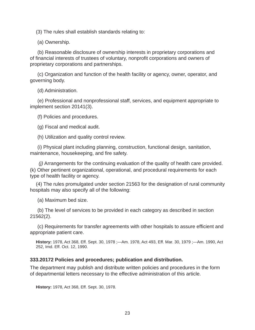(3) The rules shall establish standards relating to:

(a) Ownership.

(b) Reasonable disclosure of ownership interests in proprietary corporations and of financial interests of trustees of voluntary, nonprofit corporations and owners of proprietary corporations and partnerships.

(c) Organization and function of the health facility or agency, owner, operator, and governing body.

(d) Administration.

(e) Professional and nonprofessional staff, services, and equipment appropriate to implement section 20141(3).

(f) Policies and procedures.

(g) Fiscal and medical audit.

(h) Utilization and quality control review.

(i) Physical plant including planning, construction, functional design, sanitation, maintenance, housekeeping, and fire safety.

*(j)* Arrangements for the continuing evaluation of the quality of health care provided. (k) Other pertinent organizational, operational, and procedural requirements for each type of health facility or agency.

(4) The rules promulgated under section 21563 for the designation of rural community hospitals may also specify all of the following:

(a) Maximum bed size.

(b) The level of services to be provided in each category as described in section 21562(2).

(c) Requirements for transfer agreements with other hospitals to assure efficient and appropriate patient care.

**History:** 1978, Act 368, Eff. Sept. 30, 1978 ;—Am. 1978, Act 493, Eff. Mar. 30, 1979 ;—Am. 1990, Act 252, Imd. Eff. Oct. 12, 1990.

#### **333.20172 Policies and procedures; publication and distribution.**

The department may publish and distribute written policies and procedures in the form of departmental letters necessary to the effective administration of this article.

**History:** 1978, Act 368, Eff. Sept. 30, 1978.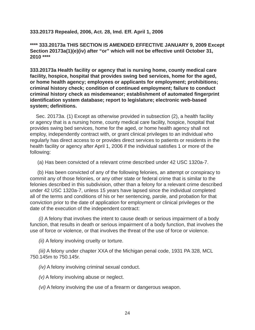**333.20173 Repealed, 2006, Act. 28, Imd. Eff. April 1, 2006**

**\*\*\*\* 333.20173a THIS SECTION IS AMENDED EFFECTIVE JANUARY 9, 2009 Except Section 20173a(1)(e)(iv) after "or" which will not be effective until October 31, 2010 \*\*\*\***

**333.20173a Health facility or agency that is nursing home, county medical care facility, hospice, hospital that provides swing bed services, home for the aged, or home health agency; employees or applicants for employment; prohibitions; criminal history check; condition of continued employment; failure to conduct criminal history check as misdemeanor; establishment of automated fi ngerprint identifi cation system database; report to legislature; electronic web-based system; defi nitions.**

Sec. 20173a. (1) Except as otherwise provided in subsection (2), a health facility or agency that is a nursing home, county medical care facility, hospice, hospital that provides swing bed services, home for the aged, or home health agency shall not employ, independently contract with, or grant clinical privileges to an individual who regularly has direct access to or provides direct services to patients or residents in the health facility or agency after April 1, 2006 if the individual satisfies 1 or more of the following:

(a) Has been convicted of a relevant crime described under 42 USC 1320a-7.

(b) Has been convicted of any of the following felonies, an attempt or conspiracy to commit any of those felonies, or any other state or federal crime that is similar to the felonies described in this subdivision, other than a felony for a relevant crime described under 42 USC 1320a-7, unless 15 years have lapsed since the individual completed all of the terms and conditions of his or her sentencing, parole, and probation for that conviction prior to the date of application for employment or clinical privileges or the date of the execution of the independent contract:

*(i)* A felony that involves the intent to cause death or serious impairment of a body function, that results in death or serious impairment of a body function, that involves the use of force or violence, or that involves the threat of the use of force or violence.

*(ii)* A felony involving cruelty or torture.

*(iii)* A felony under chapter XXA of the Michigan penal code, 1931 PA 328, MCL 750.145m to 750.145r.

*(iv)* A felony involving criminal sexual conduct.

*(v)* A felony involving abuse or neglect.

*(vi)* A felony involving the use of a firearm or dangerous weapon.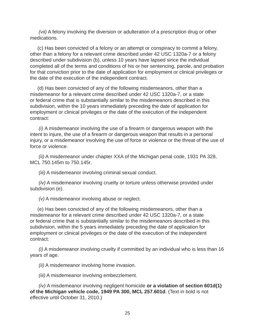*(vii)* A felony involving the diversion or adulteration of a prescription drug or other medications.

(c) Has been convicted of a felony or an attempt or conspiracy to commit a felony, other than a felony for a relevant crime described under 42 USC 1320a-7 or a felony described under subdivision (b), unless 10 years have lapsed since the individual completed all of the terms and conditions of his or her sentencing, parole, and probation for that conviction prior to the date of application for employment or clinical privileges or the date of the execution of the independent contract.

(d) Has been convicted of any of the following misdemeanors, other than a misdemeanor for a relevant crime described under 42 USC 1320a-7, or a state or federal crime that is substantially similar to the misdemeanors described in this subdivision, within the 10 years immediately preceding the date of application for employment or clinical privileges or the date of the execution of the independent contract:

*(i)* A misdemeanor involving the use of a firearm or dangerous weapon with the intent to injure, the use of a firearm or dangerous weapon that results in a personal injury, or a misdemeanor involving the use of force or violence or the threat of the use of force or violence.

*(ii)* A misdemeanor under chapter XXA of the Michigan penal code, 1931 PA 328, MCL 750.145m to 750.145r.

*(iii)* A misdemeanor involving criminal sexual conduct.

*(iv)* A misdemeanor involving cruelty or torture unless otherwise provided under subdivision (e).

*(v)* A misdemeanor involving abuse or neglect.

(e) Has been convicted of any of the following misdemeanors, other than a misdemeanor for a relevant crime described under 42 USC 1320a-7, or a state or federal crime that is substantially similar to the misdemeanors described in this subdivision, within the 5 years immediately preceding the date of application for employment or clinical privileges or the date of the execution of the independent contract:

*(i)* A misdemeanor involving cruelty if committed by an individual who is less than 16 years of age.

*(ii)* A misdemeanor involving home invasion.

*(iii)* A misdemeanor involving embezzlement.

*(iv)* A misdemeanor involving negligent homicide **or a violation of section 601d(1) of the Michigan vehicle code, 1949 PA 300, MCL 257.601d**. (Text in bold is not effective until October 31, 2010.)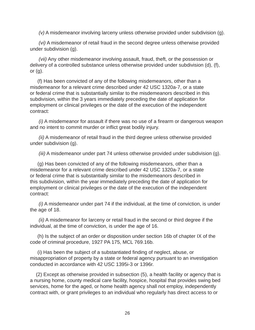*(v)* A misdemeanor involving larceny unless otherwise provided under subdivision (g).

*(vi)* A misdemeanor of retail fraud in the second degree unless otherwise provided under subdivision (g).

*(vii)* Any other misdemeanor involving assault, fraud, theft, or the possession or delivery of a controlled substance unless otherwise provided under subdivision (d), (f), or  $(q)$ .

(f) Has been convicted of any of the following misdemeanors, other than a misdemeanor for a relevant crime described under 42 USC 1320a-7, or a state or federal crime that is substantially similar to the misdemeanors described in this subdivision, within the 3 years immediately preceding the date of application for employment or clinical privileges or the date of the execution of the independent contract:

*(i)* A misdemeanor for assault if there was no use of a firearm or dangerous weapon and no intent to commit murder or inflict great bodily injury.

*(ii)* A misdemeanor of retail fraud in the third degree unless otherwise provided under subdivision (g).

*(iii)* A misdemeanor under part 74 unless otherwise provided under subdivision (g).

(g) Has been convicted of any of the following misdemeanors, other than a misdemeanor for a relevant crime described under 42 USC 1320a-7, or a state or federal crime that is substantially similar to the misdemeanors described in this subdivision, within the year immediately preceding the date of application for employment or clinical privileges or the date of the execution of the independent contract:

*(i)* A misdemeanor under part 74 if the individual, at the time of conviction, is under the age of 18.

*(ii)* A misdemeanor for larceny or retail fraud in the second or third degree if the individual, at the time of conviction, is under the age of 16.

(h) Is the subject of an order or disposition under section 16b of chapter IX of the code of criminal procedure, 1927 PA 175, MCL 769.16b.

(i) Has been the subject of a substantiated finding of neglect, abuse, or misappropriation of property by a state or federal agency pursuant to an investigation conducted in accordance with 42 USC 1395i-3 or 1396r.

(2) Except as otherwise provided in subsection (5), a health facility or agency that is a nursing home, county medical care facility, hospice, hospital that provides swing bed services, home for the aged, or home health agency shall not employ, independently contract with, or grant privileges to an individual who regularly has direct access to or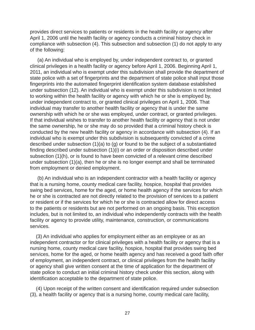provides direct services to patients or residents in the health facility or agency after April 1, 2006 until the health facility or agency conducts a criminal history check in compliance with subsection (4). This subsection and subsection (1) do not apply to any of the following:

(a) An individual who is employed by, under independent contract to, or granted clinical privileges in a health facility or agency before April 1, 2006. Beginning April 1, 2011, an individual who is exempt under this subdivision shall provide the department of state police with a set of fingerprints and the department of state police shall input those fingerprints into the automated fingerprint identification system database established under subsection (12). An individual who is exempt under this subdivision is not limited to working within the health facility or agency with which he or she is employed by, under independent contract to, or granted clinical privileges on April 1, 2006. That individual may transfer to another health facility or agency that is under the same ownership with which he or she was employed, under contract, or granted privileges. If that individual wishes to transfer to another health facility or agency that is not under the same ownership, he or she may do so provided that a criminal history check is conducted by the new health facility or agency in accordance with subsection (4). If an individual who is exempt under this subdivision is subsequently convicted of a crime described under subsection (1)(a) to (g) or found to be the subject of a substantiated finding described under subsection  $(1)(i)$  or an order or disposition described under subsection (1)(h), or is found to have been convicted of a relevant crime described under subsection (1)(a), then he or she is no longer exempt and shall be terminated from employment or denied employment.

(b) An individual who is an independent contractor with a health facility or agency that is a nursing home, county medical care facility, hospice, hospital that provides swing bed services, home for the aged, or home health agency if the services for which he or she is contracted are not directly related to the provision of services to a patient or resident or if the services for which he or she is contracted allow for direct access to the patients or residents but are not performed on an ongoing basis. This exception includes, but is not limited to, an individual who independently contracts with the health facility or agency to provide utility, maintenance, construction, or communications services.

(3) An individual who applies for employment either as an employee or as an independent contractor or for clinical privileges with a health facility or agency that is a nursing home, county medical care facility, hospice, hospital that provides swing bed services, home for the aged, or home health agency and has received a good faith offer of employment, an independent contract, or clinical privileges from the health facility or agency shall give written consent at the time of application for the department of state police to conduct an initial criminal history check under this section, along with identification acceptable to the department of state police.

(4) Upon receipt of the written consent and identification required under subsection (3), a health facility or agency that is a nursing home, county medical care facility,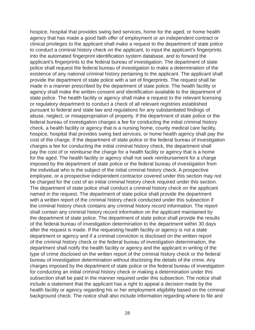hospice, hospital that provides swing bed services, home for the aged, or home health agency that has made a good faith offer of employment or an independent contract or clinical privileges to the applicant shall make a request to the department of state police to conduct a criminal history check on the applicant, to input the applicant's fingerprints into the automated fingerprint identification system database, and to forward the applicant's fingerprints to the federal bureau of investigation. The department of state police shall request the federal bureau of investigation to make a determination of the existence of any national criminal history pertaining to the applicant. The applicant shall provide the department of state police with a set of fingerprints. The request shall be made in a manner prescribed by the department of state police. The health facility or agency shall make the written consent and identification available to the department of state police. The health facility or agency shall make a request to the relevant licensing or regulatory department to conduct a check of all relevant registries established pursuant to federal and state law and regulations for any substantiated findings of abuse, neglect, or misappropriation of property. If the department of state police or the federal bureau of investigation charges a fee for conducting the initial criminal history check, a health facility or agency that is a nursing home, county medical care facility, hospice, hospital that provides swing bed services, or home health agency shall pay the cost of the charge. If the department of state police or the federal bureau of investigation charges a fee for conducting the initial criminal history check, the department shall pay the cost of or reimburse the charge for a health facility or agency that is a home for the aged. The health facility or agency shall not seek reimbursement for a charge imposed by the department of state police or the federal bureau of investigation from the individual who is the subject of the initial criminal history check. A prospective employee, or a prospective independent contractor covered under this section may not be charged for the cost of an initial criminal history check required under this section. The department of state police shall conduct a criminal history check on the applicant named in the request. The department of state police shall provide the department with a written report of the criminal history check conducted under this subsection if the criminal history check contains any criminal history record information. The report shall contain any criminal history record information on the applicant maintained by the department of state police. The department of state police shall provide the results of the federal bureau of investigation determination to the department within 30 days after the request is made. If the requesting health facility or agency is not a state department or agency and if a criminal conviction is disclosed on the written report of the criminal history check or the federal bureau of investigation determination, the department shall notify the health facility or agency and the applicant in writing of the type of crime disclosed on the written report of the criminal history check or the federal bureau of investigation determination without disclosing the details of the crime. Any charges imposed by the department of state police or the federal bureau of investigation for conducting an initial criminal history check or making a determination under this subsection shall be paid in the manner required under this subsection. The notice shall include a statement that the applicant has a right to appeal a decision made by the health facility or agency regarding his or her employment eligibility based on the criminal background check. The notice shall also include information regarding where to file and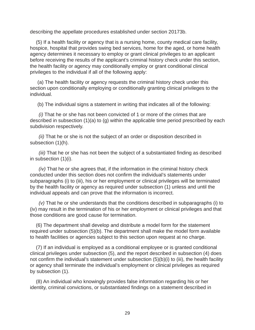describing the appellate procedures established under section 20173b.

(5) If a health facility or agency that is a nursing home, county medical care facility, hospice, hospital that provides swing bed services, home for the aged, or home health agency determines it necessary to employ or grant clinical privileges to an applicant before receiving the results of the applicant's criminal history check under this section, the health facility or agency may conditionally employ or grant conditional clinical privileges to the individual if all of the following apply:

(a) The health facility or agency requests the criminal history check under this section upon conditionally employing or conditionally granting clinical privileges to the individual.

(b) The individual signs a statement in writing that indicates all of the following:

*(i)* That he or she has not been convicted of 1 or more of the crimes that are described in subsection (1)(a) to (g) within the applicable time period prescribed by each subdivision respectively.

*(ii)* That he or she is not the subject of an order or disposition described in subsection (1)(h).

*(iii)* That he or she has not been the subject of a substantiated finding as described in subsection (1)(i).

*(iv)* That he or she agrees that, if the information in the criminal history check conducted under this section does not confirm the individual's statements under subparagraphs (i) to (iii), his or her employment or clinical privileges will be terminated by the health facility or agency as required under subsection (1) unless and until the individual appeals and can prove that the information is incorrect.

*(v)* That he or she understands that the conditions described in subparagraphs (i) to (iv) may result in the termination of his or her employment or clinical privileges and that those conditions are good cause for termination.

(6) The department shall develop and distribute a model form for the statement required under subsection (5)(b). The department shall make the model form available to health facilities or agencies subject to this section upon request at no charge.

(7) If an individual is employed as a conditional employee or is granted conditional clinical privileges under subsection (5), and the report described in subsection (4) does not confirm the individual's statement under subsection  $(5)(b)(i)$  to (iii), the health facility or agency shall terminate the individual's employment or clinical privileges as required by subsection (1).

(8) An individual who knowingly provides false information regarding his or her identity, criminal convictions, or substantiated findings on a statement described in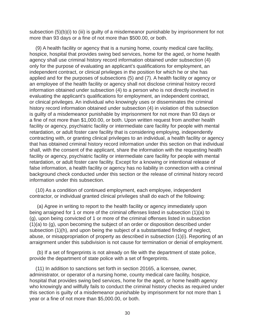subsection (5)(b)(i) to (iii) is guilty of a misdemeanor punishable by imprisonment for not more than 93 days or a fine of not more than \$500.00, or both.

(9) A health facility or agency that is a nursing home, county medical care facility, hospice, hospital that provides swing bed services, home for the aged, or home health agency shall use criminal history record information obtained under subsection (4) only for the purpose of evaluating an applicant's qualifications for employment, an independent contract, or clinical privileges in the position for which he or she has applied and for the purposes of subsections (5) and (7). A health facility or agency or an employee of the health facility or agency shall not disclose criminal history record information obtained under subsection (4) to a person who is not directly involved in evaluating the applicant's qualifications for employment, an independent contract, or clinical privileges. An individual who knowingly uses or disseminates the criminal history record information obtained under subsection (4) in violation of this subsection is guilty of a misdemeanor punishable by imprisonment for not more than 93 days or a fine of not more than \$1,000.00, or both. Upon written request from another health facility or agency, psychiatric facility or intermediate care facility for people with mental retardation, or adult foster care facility that is considering employing, independently contracting with, or granting clinical privileges to an individual, a health facility or agency that has obtained criminal history record information under this section on that individual shall, with the consent of the applicant, share the information with the requesting health facility or agency, psychiatric facility or intermediate care facility for people with mental retardation, or adult foster care facility. Except for a knowing or intentional release of false information, a health facility or agency has no liability in connection with a criminal background check conducted under this section or the release of criminal history record information under this subsection.

(10) As a condition of continued employment, each employee, independent contractor, or individual granted clinical privileges shall do each of the following:

(a) Agree in writing to report to the health facility or agency immediately upon being arraigned for 1 or more of the criminal offenses listed in subsection (1)(a) to (g), upon being convicted of 1 or more of the criminal offenses listed in subsection (1)(a) to (g), upon becoming the subject of an order or disposition described under subsection (1)(h), and upon being the subject of a substantiated finding of neglect, abuse, or misappropriation of property as described in subsection (1)(i). Reporting of an arraignment under this subdivision is not cause for termination or denial of employment.

(b) If a set of fingerprints is not already on file with the department of state police, provide the department of state police with a set of fingerprints.

(11) In addition to sanctions set forth in section 20165, a licensee, owner, administrator, or operator of a nursing home, county medical care facility, hospice, hospital that provides swing bed services, home for the aged, or home health agency who knowingly and willfully fails to conduct the criminal history checks as required under this section is guilty of a misdemeanor punishable by imprisonment for not more than 1 year or a fine of not more than \$5,000.00, or both.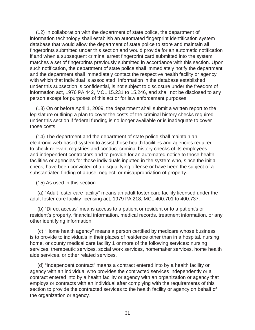(12) In collaboration with the department of state police, the department of information technology shall establish an automated fingerprint identification system database that would allow the department of state police to store and maintain all fingerprints submitted under this section and would provide for an automatic notification if and when a subsequent criminal arrest fingerprint card submitted into the system matches a set of fingerprints previously submitted in accordance with this section. Upon such notification, the department of state police shall immediately notify the department and the department shall immediately contact the respective health facility or agency with which that individual is associated. Information in the database established under this subsection is confidential, is not subject to disclosure under the freedom of information act, 1976 PA 442, MCL 15.231 to 15.246, and shall not be disclosed to any person except for purposes of this act or for law enforcement purposes.

(13) On or before April 1, 2009, the department shall submit a written report to the legislature outlining a plan to cover the costs of the criminal history checks required under this section if federal funding is no longer available or is inadequate to cover those costs.

(14) The department and the department of state police shall maintain an electronic web-based system to assist those health facilities and agencies required to check relevant registries and conduct criminal history checks of its employees and independent contractors and to provide for an automated notice to those health facilities or agencies for those individuals inputted in the system who, since the initial check, have been convicted of a disqualifying offense or have been the subject of a substantiated finding of abuse, neglect, or misappropriation of property.

(15) As used in this section:

(a) "Adult foster care facility" means an adult foster care facility licensed under the adult foster care facility licensing act, 1979 PA 218, MCL 400.701 to 400.737.

(b) "Direct access" means access to a patient or resident or to a patient's or resident's property, financial information, medical records, treatment information, or any other identifying information.

(c) "Home health agency" means a person certified by medicare whose business is to provide to individuals in their places of residence other than in a hospital, nursing home, or county medical care facility 1 or more of the following services: nursing services, therapeutic services, social work services, homemaker services, home health aide services, or other related services.

(d) "Independent contract" means a contract entered into by a health facility or agency with an individual who provides the contracted services independently or a contract entered into by a health facility or agency with an organization or agency that employs or contracts with an individual after complying with the requirements of this section to provide the contracted services to the health facility or agency on behalf of the organization or agency.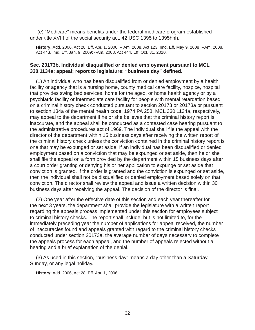(e) "Medicare" means benefits under the federal medicare program established under title XVIII of the social security act, 42 USC 1395 to 1395hhh.

**History:** Add. 2006, Act 28, Eff. Apr. 1, 2006 ;-- Am. 2008, Act 123, Imd. Eff. May 9, 2008 ;--Am. 2008, Act 443, Imd. Eff. Jan. 9, 2009; --Am. 2008, Act 444, Eff. Oct. 31, 2010.

#### **Sec. 20173b. Individual disqualified or denied employment pursuant to MCL 330.1134a; appeal; report to legislature; "business day" defi ned.**

(1) An individual who has been disqualified from or denied employment by a health facility or agency that is a nursing home, county medical care facility, hospice, hospital that provides swing bed services, home for the aged, or home health agency or by a psychiatric facility or intermediate care facility for people with mental retardation based on a criminal history check conducted pursuant to section 20173 or 20173a or pursuant to section 134a of the mental health code, 1974 PA 258, MCL 330.1134a, respectively, may appeal to the department if he or she believes that the criminal history report is inaccurate, and the appeal shall be conducted as a contested case hearing pursuant to the administrative procedures act of 1969. The individual shall file the appeal with the director of the department within 15 business days after receiving the written report of the criminal history check unless the conviction contained in the criminal history report is one that may be expunged or set aside. If an individual has been disqualified or denied employment based on a conviction that may be expunged or set aside, then he or she shall file the appeal on a form provided by the department within 15 business days after a court order granting or denying his or her application to expunge or set aside that conviction is granted. If the order is granted and the conviction is expunged or set aside, then the individual shall not be disqualified or denied employment based solely on that conviction. The director shall review the appeal and issue a written decision within 30 business days after receiving the appeal. The decision of the director is final.

(2) One year after the effective date of this section and each year thereafter for the next 3 years, the department shall provide the legislature with a written report regarding the appeals process implemented under this section for employees subject to criminal history checks. The report shall include, but is not limited to, for the immediately preceding year the number of applications for appeal received, the number of inaccuracies found and appeals granted with regard to the criminal history checks conducted under section 20173a, the average number of days necessary to complete the appeals process for each appeal, and the number of appeals rejected without a hearing and a brief explanation of the denial.

(3) As used in this section, "business day" means a day other than a Saturday, Sunday, or any legal holiday.

**History:** Add. 2006, Act 28, Eff. Apr. 1, 2006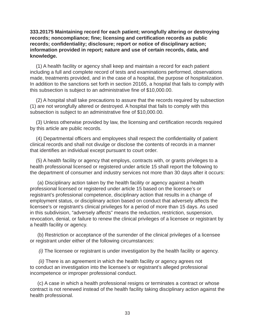**333.20175 Maintaining record for each patient; wrongfully altering or destroying records; noncompliance; fine; licensing and certification records as public** records; confidentiality; disclosure; report or notice of disciplinary action; **information provided in report; nature and use of certain records, data, and knowledge.** 

(1) A health facility or agency shall keep and maintain a record for each patient including a full and complete record of tests and examinations performed, observations made, treatments provided, and in the case of a hospital, the purpose of hospitalization. In addition to the sanctions set forth in section 20165, a hospital that fails to comply with this subsection is subject to an administrative fine of \$10,000.00.

(2) A hospital shall take precautions to assure that the records required by subsection (1) are not wrongfully altered or destroyed. A hospital that fails to comply with this subsection is subject to an administrative fine of \$10,000.00.

(3) Unless otherwise provided by law, the licensing and certification records required by this article are public records.

(4) Departmental officers and employees shall respect the confidentiality of patient clinical records and shall not divulge or disclose the contents of records in a manner that identifies an individual except pursuant to court order.

(5) A health facility or agency that employs, contracts with, or grants privileges to a health professional licensed or registered under article 15 shall report the following to the department of consumer and industry services not more than 30 days after it occurs:

(a) Disciplinary action taken by the health facility or agency against a health professional licensed or registered under article 15 based on the licensee's or registrant's professional competence, disciplinary action that results in a change of employment status, or disciplinary action based on conduct that adversely affects the licensee's or registrant's clinical privileges for a period of more than 15 days. As used in this subdivision, "adversely affects" means the reduction, restriction, suspension, revocation, denial, or failure to renew the clinical privileges of a licensee or registrant by a health facility or agency.

(b) Restriction or acceptance of the surrender of the clinical privileges of a licensee or registrant under either of the following circumstances:

*(i)* The licensee or registrant is under investigation by the health facility or agency.

*(ii)* There is an agreement in which the health facility or agency agrees not to conduct an investigation into the licensee's or registrant's alleged professional incompetence or improper professional conduct.

(c) A case in which a health professional resigns or terminates a contract or whose contract is not renewed instead of the health facility taking disciplinary action against the health professional.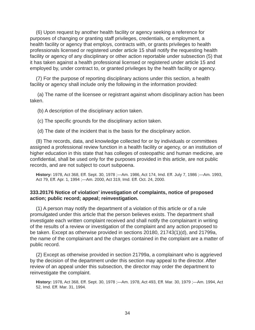(6) Upon request by another health facility or agency seeking a reference for purposes of changing or granting staff privileges, credentials, or employment, a health facility or agency that employs, contracts with, or grants privileges to health professionals licensed or registered under article 15 shall notify the requesting health facility or agency of any disciplinary or other action reportable under subsection (5) that it has taken against a health professional licensed or registered under article 15 and employed by, under contract to, or granted privileges by the health facility or agency.

(7) For the purpose of reporting disciplinary actions under this section, a health facility or agency shall include only the following in the information provided:

(a) The name of the licensee or registrant against whom disciplinary action has been taken.

(b) A description of the disciplinary action taken.

(c) The specific grounds for the disciplinary action taken.

(d) The date of the incident that is the basis for the disciplinary action.

(8) The records, data, and knowledge collected for or by individuals or committees assigned a professional review function in a health facility or agency, or an institution of higher education in this state that has colleges of osteopathic and human medicine, are confidential, shall be used only for the purposes provided in this article, are not public records, and are not subject to court subpoena.

**History:** 1978, Act 368, Eff. Sept. 30, 1978 ;—Am. 1986, Act 174, Imd. Eff. July 7, 1986 ;—Am. 1993, Act 79, Eff. Apr. 1, 1994 ;—Am. 2000, Act 319, Imd. Eff. Oct. 24, 2000.

#### **333.20176 Notice of violation' investigation of complaints, notice of proposed action; public record; appeal; reinvestigation.**

(1) A person may notify the department of a violation of this article or of a rule promulgated under this article that the person believes exists. The department shall investigate each written complaint received and shall notify the complainant in writing of the results of a review or investigation of the complaint and any action proposed to be taken. Except as otherwise provided in sections 20180, 21743(1)(d), and 21799a, the name of the complainant and the charges contained in the complaint are a matter of public record.

(2) Except as otherwise provided in section 21799a, a complainant who is aggrieved by the decision of the department under this section may appeal to the director. After review of an appeal under this subsection, the director may order the department to reinvestigate the complaint.

**History:** 1978, Act 368, Eff. Sept. 30, 1978 ;—Am. 1978, Act 493, Eff. Mar. 30, 1979 ;—Am. 1994, Act 52, Imd. Eff. Mar. 31, 1994.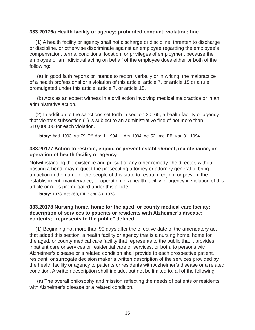#### **333.20176a Health facility or agency; prohibited conduct; violation; fi ne.**

(1) A health facility or agency shall not discharge or discipline, threaten to discharge or discipline, or otherwise discriminate against an employee regarding the employee's compensation, terms, conditions, location, or privileges of employment because the employee or an individual acting on behalf of the employee does either or both of the following:

(a) In good faith reports or intends to report, verbally or in writing, the malpractice of a health professional or a violation of this article, article 7, or article 15 or a rule promulgated under this article, article 7, or article 15.

(b) Acts as an expert witness in a civil action involving medical malpractice or in an administrative action.

(2) In addition to the sanctions set forth in section 20165, a health facility or agency that violates subsection (1) is subject to an administrative fine of not more than \$10,000.00 for each violation.

**History:** Add. 1993, Act 79, Eff. Apr. 1, 1994 ;—Am. 1994, Act 52, Imd. Eff. Mar. 31, 1994.

#### **333.20177 Action to restrain, enjoin, or prevent establishment, maintenance, or operation of health facility or agency.**

Notwithstanding the existence and pursuit of any other remedy, the director, without posting a bond, may request the prosecuting attorney or attorney general to bring an action in the name of the people of this state to restrain, enjoin, or prevent the establishment, maintenance, or operation of a health facility or agency in violation of this article or rules promulgated under this article.

**History:** 1978, Act 368, Eff. Sept. 30, 1978.

## **333.20178 Nursing home, home for the aged, or county medical care facility; description of services to patients or residents with Alzheimer's disease;**  contents; "represents to the public" defined.

(1) Beginning not more than 90 days after the effective date of the amendatory act that added this section, a health facility or agency that is a nursing home, home for the aged, or county medical care facility that represents to the public that it provides inpatient care or services or residential care or services, or both, to persons with Alzheimer's disease or a related condition shall provide to each prospective patient, resident, or surrogate decision maker a written description of the services provided by the health facility or agency to patients or residents with Alzheimer's disease or a related condition. A written description shall include, but not be limited to, all of the following:

(a) The overall philosophy and mission reflecting the needs of patients or residents with Alzheimer's disease or a related condition.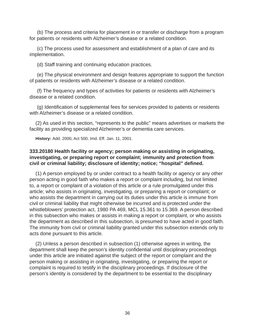(b) The process and criteria for placement in or transfer or discharge from a program for patients or residents with Alzheimer's disease or a related condition.

(c) The process used for assessment and establishment of a plan of care and its implementation.

(d) Staff training and continuing education practices.

(e) The physical environment and design features appropriate to support the function of patients or residents with Alzheimer's disease or a related condition.

(f) The frequency and types of activities for patients or residents with Alzheimer's disease or a related condition.

(g) Identification of supplemental fees for services provided to patients or residents with Alzheimer's disease or a related condition.

(2) As used in this section, "represents to the public" means advertises or markets the facility as providing specialized Alzheimer's or dementia care services.

**History:** Add. 2000, Act 500, Imd. Eff. Jan. 11, 2001.

## **333.20180 Health facility or agency; person making or assisting in originating, investigating, or preparing report or complaint; immunity and protection from**  civil or criminal liability; disclosure of identity; notice; "hospital" defined.

(1) A person employed by or under contract to a health facility or agency or any other person acting in good faith who makes a report or complaint including, but not limited to, a report or complaint of a violation of this article or a rule promulgated under this article; who assists in originating, investigating, or preparing a report or complaint; or who assists the department in carrying out its duties under this article is immune from civil or criminal liability that might otherwise be incurred and is protected under the whistleblowers' protection act, 1980 PA 469, MCL 15.361 to 15.369. A person described in this subsection who makes or assists in making a report or complaint, or who assists the department as described in this subsection, is presumed to have acted in good faith. The immunity from civil or criminal liability granted under this subsection extends only to acts done pursuant to this article.

(2) Unless a person described in subsection (1) otherwise agrees in writing, the department shall keep the person's identity confidential until disciplinary proceedings under this article are initiated against the subject of the report or complaint and the person making or assisting in originating, investigating, or preparing the report or complaint is required to testify in the disciplinary proceedings. If disclosure of the person's identity is considered by the department to be essential to the disciplinary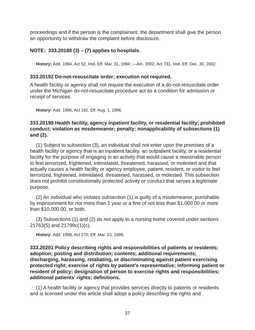proceedings and if the person is the complainant, the department shall give the person an opportunity to withdraw the complaint before disclosure.

## **NOTE: 333.20180 (3) – (7) applies to hospitals**.

**History:** Add. 1994, Act 52, Imd. Eff. Mar. 31, 1994 ;—Am. 2002, Act 731, Imd. Eff. Dec. 30, 2002.

## **333.20192 Do-not-resuscitate order; execution not required.**

A health facility or agency shall not require the execution of a do-not-resuscitate order under the Michigan do-not-resuscitate procedure act as a condition for admission or receipt of services.

**History:** Add. 1996, Act 192, Eff. Aug. 1, 1996.

## **333.20198 Health facility, agency inpatient facility, or residential facility; prohibited conduct; violation as misdemeanor; penalty; nonapplicability of subsections (1) and (2).**

(1) Subject to subsection (3), an individual shall not enter upon the premises of a health facility or agency that is an inpatient facility, an outpatient facility, or a residential facility for the purpose of engaging in an activity that would cause a reasonable person to feel terrorized, frightened, intimidated, threatened, harassed, or molested and that actually causes a health facility or agency employee, patient, resident, or visitor to feel terrorized, frightened, intimidated, threatened, harassed, or molested. This subsection does not prohibit constitutionally protected activity or conduct that serves a legitimate purpose.

(2) An individual who violates subsection (1) is guilty of a misdemeanor, punishable by imprisonment for not more than 1 year or a fine of not less than \$1,000.00 or more than \$10,000.00, or both.

(3) Subsections (1) and (2) do not apply to a nursing home covered under sections 21763(5) and 21799c(1)(c).

**History:** Add. 1998, Act 270, Eff. Mar. 23, 1999.

**333.20201 Policy describing rights and responsibilities of patients or residents; adoption; posting and distribution; contents; additional requirements; discharging, harassing, retaliating, or discriminating against patient exercising protected right; exercise of rights by patient's representative; informing patient or resident of policy; designation of person to exercise rights and responsibilities; additional patients' rights; defi nitions.** 

(1) A health facility or agency that provides services directly to patients or residents and is licensed under this article shall adopt a policy describing the rights and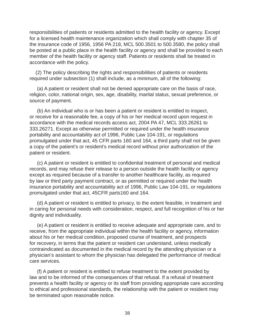responsibilities of patients or residents admitted to the health facility or agency. Except for a licensed health maintenance organization which shall comply with chapter 35 of the insurance code of 1956, 1956 PA 218, MCL 500.3501 to 500.3580, the policy shall be posted at a public place in the health facility or agency and shall be provided to each member of the health facility or agency staff. Patients or residents shall be treated in accordance with the policy.

(2) The policy describing the rights and responsibilities of patients or residents required under subsection (1) shall include, as a minimum, all of the following:

(a) A patient or resident shall not be denied appropriate care on the basis of race, religion, color, national origin, sex, age, disability, marital status, sexual preference, or source of payment.

(b) An individual who is or has been a patient or resident is entitled to inspect, or receive for a reasonable fee, a copy of his or her medical record upon request in accordance with the medical records access act, 2004 PA 47, MCL 333.26261 to 333.26271. Except as otherwise permitted or required under the health insurance portability and accountability act of 1996, Public Law 104-191, or regulations promulgated under that act, 45 CFR parts 160 and 164, a third party shall not be given a copy of the patient's or resident's medical record without prior authorization of the patient or resident.

(c) A patient or resident is entitled to confidential treatment of personal and medical records, and may refuse their release to a person outside the health facility or agency except as required because of a transfer to another healthcare facility, as required by law or third party payment contract, or as permitted or required under the health insurance portability and accountability act of 1996, Public Law 104-191, or regulations promulgated under that act, 45CFR parts160 and 164.

(d) A patient or resident is entitled to privacy, to the extent feasible, in treatment and in caring for personal needs with consideration, respect, and full recognition of his or her dignity and individuality.

(e) A patient or resident is entitled to receive adequate and appropriate care, and to receive, from the appropriate individual within the health facility or agency, information about his or her medical condition, proposed course of treatment, and prospects for recovery, in terms that the patient or resident can understand, unless medically contraindicated as documented in the medical record by the attending physician or a physician's assistant to whom the physician has delegated the performance of medical care services.

(f) A patient or resident is entitled to refuse treatment to the extent provided by law and to be informed of the consequences of that refusal. If a refusal of treatment prevents a health facility or agency or its staff from providing appropriate care according to ethical and professional standards, the relationship with the patient or resident may be terminated upon reasonable notice.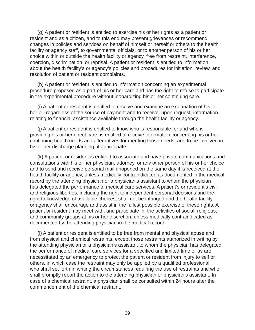(g) A patient or resident is entitled to exercise his or her rights as a patient or resident and as a citizen, and to this end may present grievances or recommend changes in policies and services on behalf of himself or herself or others to the health facility or agency staff, to governmental officials, or to another person of his or her choice within or outside the health facility or agency, free from restraint, interference, coercion, discrimination, or reprisal. A patient or resident is entitled to information about the health facility's or agency's policies and procedures for initiation, review, and resolution of patient or resident complaints.

(h) A patient or resident is entitled to information concerning an experimental procedure proposed as a part of his or her care and has the right to refuse to participate in the experimental procedure without jeopardizing his or her continuing care.

(i) A patient or resident is entitled to receive and examine an explanation of his or her bill regardless of the source of payment and to receive, upon request, information relating to financial assistance available through the health facility or agency.

(j) A patient or resident is entitled to know who is responsible for and who is providing his or her direct care, is entitled to receive information concerning his or her continuing health needs and alternatives for meeting those needs, and to be involved in his or her discharge planning, if appropriate.

(k) A patient or resident is entitled to associate and have private communications and consultations with his or her physician, attorney, or any other person of his or her choice and to send and receive personal mail unopened on the same day it is received at the health facility or agency, unless medically contraindicated as documented in the medical record by the attending physician or a physician's assistant to whom the physician has delegated the performance of medical care services. A patient's or resident's civil and religious liberties, including the right to independent personal decisions and the right to knowledge of available choices, shall not be infringed and the health facility or agency shall encourage and assist in the fullest possible exercise of these rights. A patient or resident may meet with, and participate in, the activities of social, religious, and community groups at his or her discretion, unless medically contraindicated as documented by the attending physician in the medical record.

(l) A patient or resident is entitled to be free from mental and physical abuse and from physical and chemical restraints, except those restraints authorized in writing by the attending physician or a physician's assistant to whom the physician has delegated the performance of medical care services for a specified and limited time or as are necessitated by an emergency to protect the patient or resident from injury to self or others, in which case the restraint may only be applied by a qualified professional who shall set forth in writing the circumstances requiring the use of restraints and who shall promptly report the action to the attending physician or physician's assistant. In case of a chemical restraint, a physician shall be consulted within 24 hours after the commencement of the chemical restraint.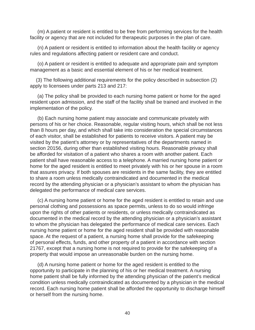(m) A patient or resident is entitled to be free from performing services for the health facility or agency that are not included for therapeutic purposes in the plan of care.

(n) A patient or resident is entitled to information about the health facility or agency rules and regulations affecting patient or resident care and conduct.

(o) A patient or resident is entitled to adequate and appropriate pain and symptom management as a basic and essential element of his or her medical treatment.

(3) The following additional requirements for the policy described in subsection (2) apply to licensees under parts 213 and 217:

(a) The policy shall be provided to each nursing home patient or home for the aged resident upon admission, and the staff of the facility shall be trained and involved in the implementation of the policy.

(b) Each nursing home patient may associate and communicate privately with persons of his or her choice. Reasonable, regular visiting hours, which shall be not less than 8 hours per day, and which shall take into consideration the special circumstances of each visitor, shall be established for patients to receive visitors. A patient may be visited by the patient's attorney or by representatives of the departments named in section 20156, during other than established visiting hours. Reasonable privacy shall be afforded for visitation of a patient who shares a room with another patient. Each patient shall have reasonable access to a telephone. A married nursing home patient or home for the aged resident is entitled to meet privately with his or her spouse in a room that assures privacy. If both spouses are residents in the same facility, they are entitled to share a room unless medically contraindicated and documented in the medical record by the attending physician or a physician's assistant to whom the physician has delegated the performance of medical care services.

(c) A nursing home patient or home for the aged resident is entitled to retain and use personal clothing and possessions as space permits, unless to do so would infringe upon the rights of other patients or residents, or unless medically contraindicated as documented in the medical record by the attending physician or a physician's assistant to whom the physician has delegated the performance of medical care services. Each nursing home patient or home for the aged resident shall be provided with reasonable space. At the request of a patient, a nursing home shall provide for the safekeeping of personal effects, funds, and other property of a patient in accordance with section 21767, except that a nursing home is not required to provide for the safekeeping of a property that would impose an unreasonable burden on the nursing home.

(d) A nursing home patient or home for the aged resident is entitled to the opportunity to participate in the planning of his or her medical treatment. A nursing home patient shall be fully informed by the attending physician of the patient's medical condition unless medically contraindicated as documented by a physician in the medical record. Each nursing home patient shall be afforded the opportunity to discharge himself or herself from the nursing home.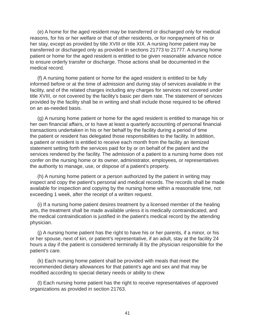(e) A home for the aged resident may be transferred or discharged only for medical reasons, for his or her welfare or that of other residents, or for nonpayment of his or her stay, except as provided by title XVIII or title XIX. A nursing home patient may be transferred or discharged only as provided in sections 21773 to 21777. A nursing home patient or home for the aged resident is entitled to be given reasonable advance notice to ensure orderly transfer or discharge. Those actions shall be documented in the medical record.

(f) A nursing home patient or home for the aged resident is entitled to be fully informed before or at the time of admission and during stay of services available in the facility, and of the related charges including any charges for services not covered under title XVIII, or not covered by the facility's basic per diem rate. The statement of services provided by the facility shall be in writing and shall include those required to be offered on an as-needed basis.

(g) A nursing home patient or home for the aged resident is entitled to manage his or her own financial affairs, or to have at least a quarterly accounting of personal financial transactions undertaken in his or her behalf by the facility during a period of time the patient or resident has delegated those responsibilities to the facility. In addition, a patient or resident is entitled to receive each month from the facility an itemized statement setting forth the services paid for by or on behalf of the patient and the services rendered by the facility. The admission of a patient to a nursing home does not confer on the nursing home or its owner, administrator, employees, or representatives the authority to manage, use, or dispose of a patient's property.

(h) A nursing home patient or a person authorized by the patient in writing may inspect and copy the patient's personal and medical records. The records shall be made available for inspection and copying by the nursing home within a reasonable time, not exceeding 1 week, after the receipt of a written request.

(i) If a nursing home patient desires treatment by a licensed member of the healing arts, the treatment shall be made available unless it is medically contraindicated, and the medical contraindication is justified in the patient's medical record by the attending physician.

(j) A nursing home patient has the right to have his or her parents, if a minor, or his or her spouse, next of kin, or patient's representative, if an adult, stay at the facility 24 hours a day if the patient is considered terminally ill by the physician responsible for the patient's care.

(k) Each nursing home patient shall be provided with meals that meet the recommended dietary allowances for that patient's age and sex and that may be modified according to special dietary needs or ability to chew.

(l) Each nursing home patient has the right to receive representatives of approved organizations as provided in section 21763.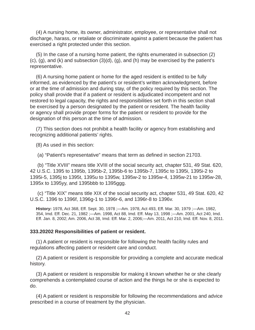(4) A nursing home, its owner, administrator, employee, or representative shall not discharge, harass, or retaliate or discriminate against a patient because the patient has exercised a right protected under this section.

(5) In the case of a nursing home patient, the rights enumerated in subsection (2) (c), (g), and (k) and subsection (3)(d), (g), and (h) may be exercised by the patient's representative.

(6) A nursing home patient or home for the aged resident is entitled to be fully informed, as evidenced by the patient's or resident's written acknowledgment, before or at the time of admission and during stay, of the policy required by this section. The policy shall provide that if a patient or resident is adjudicated incompetent and not restored to legal capacity, the rights and responsibilities set forth in this section shall be exercised by a person designated by the patient or resident. The health facility or agency shall provide proper forms for the patient or resident to provide for the designation of this person at the time of admission.

(7) This section does not prohibit a health facility or agency from establishing and recognizing additional patients' rights.

(8) As used in this section:

(a) "Patient's representative" means that term as defined in section 21703.

(b) "Title XVIII" means title XVIII of the social security act, chapter 531, 49 Stat. 620, 42 U.S.C. 1395 to 1395b, 1395b-2, 1395b-6 to 1395b-7, 1395c to 1395i, 1395i-2 to 1395i-5, 1395j to 1395t, 1395u to 1395w, 1395w-2 to 1395w-4, 1395w-21 to 1395w-28, 1395x to 1395yy, and 1395bbb to 1395ggg.

(c) "Title XIX" means title XIX of the social security act, chapter 531, 49 Stat. 620, 42 U.S.C. 1396 to 1396f, 1396g-1 to 1396r-6, and 1396r-8 to 1396v.

**History:** 1978, Act 368, Eff. Sept. 30, 1978 ;—Am. 1978, Act 493, Eff. Mar. 30, 1979 ;—Am. 1982, 354, Imd. Eff. Dec. 21, 1982 ;—Am. 1998, Act 88, Imd. Eff. May 13, 1998 ;—Am. 2001, Act 240, Imd. Eff. Jan. 8, 2002; Am. 2006, Act 38, Imd. Eff. Mar. 2, 2006;—Am. 2011, Act 210, lmd. Eff. Nov. 8, 2011.

#### **333.20202 Responsibilities of patient or resident.**

(1) A patient or resident is responsible for following the health facility rules and regulations affecting patient or resident care and conduct.

(2) A patient or resident is responsible for providing a complete and accurate medical history.

(3) A patient or resident is responsible for making it known whether he or she clearly comprehends a contemplated course of action and the things he or she is expected to do.

(4) A patient or resident is responsible for following the recommendations and advice prescribed in a course of treatment by the physician.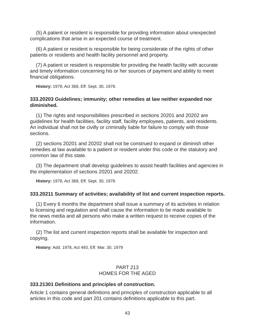(5) A patient or resident is responsible for providing information about unexpected complications that arise in an expected course of treatment.

(6) A patient or resident is responsible for being considerate of the rights of other patients or residents and health facility personnel and property.

(7) A patient or resident is responsible for providing the health facility with accurate and timely information concerning his or her sources of payment and ability to meet financial obligations.

**History:** 1978, Act 368, Eff. Sept. 30, 1978.

## **333.20203 Guidelines; immunity; other remedies at law neither expanded nor diminished.**

(1) The rights and responsibilities prescribed in sections 20201 and 20202 are guidelines for health facilities, facility staff, facility employees, patients, and residents. An individual shall not be civilly or criminally liable for failure to comply with those sections.

(2) sections 20201 and 20202 shall not be construed to expand or diminish other remedies at law available to a patient or resident under this code or the statutory and common law of this state.

(3) The department shall develop guidelines to assist health facilities and agencies in the implementation of sections 20201 and 20202.

**History:** 1978, Act 368, Eff. Sept. 30, 1978.

#### **333.20211 Summary of activities; availability of list and current inspection reports.**

(1) Every 6 months the department shall issue a summary of its activities in relation to licensing and regulation and shall cause the information to be made available to the news media and all persons who make a written request to receive copies of the information.

(2) The list and current inspection reports shall be available for inspection and copying.

**History:** Add. 1978, Act 493, Eff. Mar. 30, 1979

## PART 213 HOMES FOR THE AGED

## **333.21301 Defi nitions and principles of construction.**

Article 1 contains general definitions and principles of construction applicable to all articles in this code and part 201 contains definitions applicable to this part.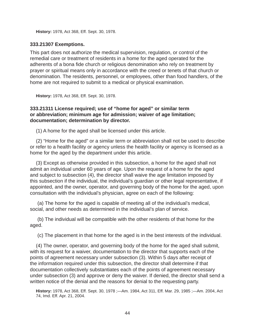**History:** 1978, Act 368, Eff. Sept. 30, 1978.

#### **333.21307 Exemptions.**

This part does not authorize the medical supervision, regulation, or control of the remedial care or treatment of residents in a home for the aged operated for the adherents of a bona fide church or religious denomination who rely on treatment by prayer or spiritual means only in accordance with the creed or tenets of that church or denomination. The residents, personnel, or employees, other than food handlers, of the home are not required to submit to a medical or physical examination.

**History:** 1978, Act 368, Eff. Sept. 30, 1978.

#### **333.21311 License required; use of "home for aged" or similar term or abbreviation; minimum age for admission; waiver of age limitation; documentation; determination by director.**

(1) A home for the aged shall be licensed under this article.

(2) "Home for the aged" or a similar term or abbreviation shall not be used to describe or refer to a health facility or agency unless the health facility or agency is licensed as a home for the aged by the department under this article.

(3) Except as otherwise provided in this subsection, a home for the aged shall not admit an individual under 60 years of age. Upon the request of a home for the aged and subject to subsection (4), the director shall waive the age limitation imposed by this subsection if the individual, the individual's guardian or other legal representative, if appointed, and the owner, operator, and governing body of the home for the aged, upon consultation with the individual's physician, agree on each of the following:

(a) The home for the aged is capable of meeting all of the individual's medical, social, and other needs as determined in the individual's plan of service.

(b) The individual will be compatible with the other residents of that home for the aged.

(c) The placement in that home for the aged is in the best interests of the individual.

(4) The owner, operator, and governing body of the home for the aged shall submit, with its request for a waiver, documentation to the director that supports each of the points of agreement necessary under subsection (3). Within 5 days after receipt of the information required under this subsection, the director shall determine if that documentation collectively substantiates each of the points of agreement necessary under subsection (3) and approve or deny the waiver. If denied, the director shall send a written notice of the denial and the reasons for denial to the requesting party.

**History:** 1978, Act 368, Eff. Sept. 30, 1978 ;—Am. 1984, Act 311, Eff. Mar. 29, 1985 ;—Am. 2004, Act 74, Imd. Eff. Apr. 21, 2004.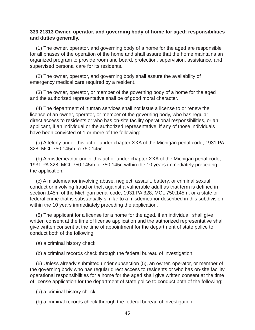#### **333.21313 Owner, operator, and governing body of home for aged; responsibilities and duties generally.**

(1) The owner, operator, and governing body of a home for the aged are responsible for all phases of the operation of the home and shall assure that the home maintains an organized program to provide room and board, protection, supervision, assistance, and supervised personal care for its residents.

(2) The owner, operator, and governing body shall assure the availability of emergency medical care required by a resident.

(3) The owner, operator, or member of the governing body of a home for the aged and the authorized representative shall be of good moral character.

(4) The department of human services shall not issue a license to or renew the license of an owner, operator, or member of the governing body, who has regular direct access to residents or who has on-site facility operational responsibilities, or an applicant, if an individual or the authorized representative, if any of those individuals have been convicted of 1 or more of the following:

(a) A felony under this act or under chapter XXA of the Michigan penal code, 1931 PA 328, MCL 750.145m to 750.145r.

(b) A misdemeanor under this act or under chapter XXA of the Michigan penal code, 1931 PA 328, MCL 750.145m to 750.145r, within the 10 years immediately preceding the application.

(c) A misdemeanor involving abuse, neglect, assault, battery, or criminal sexual conduct or involving fraud or theft against a vulnerable adult as that term is defined in section 145m of the Michigan penal code, 1931 PA 328, MCL 750.145m, or a state or federal crime that is substantially similar to a misdemeanor described in this subdivision within the 10 years immediately preceding the application.

(5) The applicant for a license for a home for the aged, if an individual, shall give written consent at the time of license application and the authorized representative shall give written consent at the time of appointment for the department of state police to conduct both of the following:

(a) a criminal history check.

(b) a criminal records check through the federal bureau of investigation.

(6) Unless already submitted under subsection (5), an owner, operator, or member of the governing body who has regular direct access to residents or who has on-site facility operational responsibilities for a home for the aged shall give written consent at the time of license application for the department of state police to conduct both of the following:

(a) a criminal history check.

(b) a criminal records check through the federal bureau of investigation.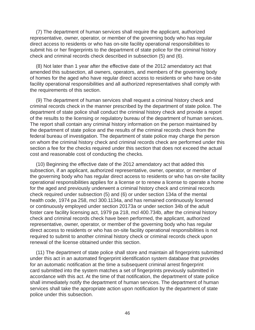(7) The department of human services shall require the applicant, authorized representative, owner, operator, or member of the governing body who has regular direct access to residents or who has on-site facility operational responsibilities to submit his or her fingerprints to the department of state police for the criminal history check and criminal records check described in subsection (5) and (6).

(8) Not later than 1 year after the effective date of the 2012 amendatory act that amended this subsection, all owners, operators, and members of the governing body of homes for the aged who have regular direct access to residents or who have on-site facility operational responsibilities and all authorized representatives shall comply with the requirements of this section.

(9) The department of human services shall request a criminal history check and criminal records check in the manner prescribed by the department of state police. The department of state police shall conduct the criminal history check and provide a report of the results to the licensing or regulatory bureau of the department of human services. The report shall contain any criminal history information on the person maintained by the department of state police and the results of the criminal records check from the federal bureau of investigation. The department of state police may charge the person on whom the criminal history check and criminal records check are performed under this section a fee for the checks required under this section that does not exceed the actual cost and reasonable cost of conducting the checks.

(10) Beginning the effective date of the 2012 amendatory act that added this subsection, if an applicant, authorized representative, owner, operator, or member of the governing body who has regular direct access to residents or who has on-site facility operational responsibilities applies for a license or to renew a license to operate a home for the aged and previously underwent a criminal history check and criminal records check required under subsection (5) and (6) or under section 134a of the mental health code, 1974 pa 258, mcl 300.1134a, and has remained continuously licensed or continuously employed under section 20173a or under section 34b of the adult foster care facility licensing act, 1979 pa 218, mcl 400.734b, after the criminal history check and criminal records check have been performed, the applicant, authorized representative, owner, operator, or member of the governing body who has regular direct access to residents or who has on-site facility operational responsibilities is not required to submit to another criminal history check or criminal records check upon renewal of the license obtained under this section.

(11) The department of state police shall store and maintain all fingerprints submitted under this act in an automated fingerprint identification system database that provides for an automatic notification at the time a subsequent criminal arrest fingerprint card submitted into the system matches a set of fingerprints previously submitted in accordance with this act. At the time of that notification, the department of state police shall immediately notify the department of human services. The department of human services shall take the appropriate action upon notification by the department of state police under this subsection.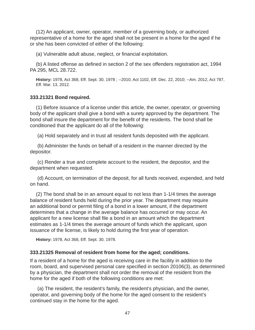(12) An applicant, owner, operator, member of a governing body, or authorized representative of a home for the aged shall not be present in a home for the aged if he or she has been convicted of either of the following:

(a) Vulnerable adult abuse, neglect, or financial exploitation.

(b) A listed offense as defined in section 2 of the sex offenders registration act, 1994 PA 295, MCL 28.722.

**History:** 1978, Act 368, Eff. Sept. 30, 1978 ; --2010, Act 1102, Eff. Dec. 22, 2010; --Am. 2012, Act 787, Eff. Mar. 13, 2012.

## **333.21321 Bond required.**

(1) Before issuance of a license under this article, the owner, operator, or governing body of the applicant shall give a bond with a surety approved by the department. The bond shall insure the department for the benefit of the residents. The bond shall be conditioned that the applicant do all of the following:

(a) Hold separately and in trust all resident funds deposited with the applicant.

(b) Administer the funds on behalf of a resident in the manner directed by the depositor.

(c) Render a true and complete account to the resident, the depositor, and the department when requested.

(d) Account, on termination of the deposit, for all funds received, expended, and held on hand.

(2) The bond shall be in an amount equal to not less than 1-1/4 times the average balance of resident funds held during the prior year. The department may require an additional bond or permit filing of a bond in a lower amount, if the department determines that a change in the average balance has occurred or may occur. An applicant for a new license shall file a bond in an amount which the department estimates as 1-1/4 times the average amount of funds which the applicant, upon issuance of the license, is likely to hold during the first year of operation.

**History:** 1978, Act 368, Eff. Sept. 30, 1978.

## **333.21325 Removal of resident from home for the aged; conditions.**

If a resident of a home for the aged is receiving care in the facility in addition to the room, board, and supervised personal care specified in section 20106(3), as determined by a physician, the department shall not order the removal of the resident from the home for the aged if both of the following conditions are met:

(a) The resident, the resident's family, the resident's physician, and the owner, operator, and governing body of the home for the aged consent to the resident's continued stay in the home for the aged.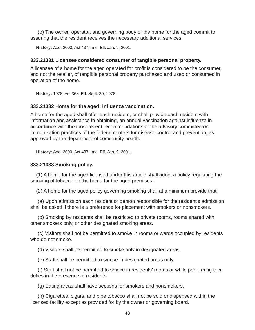(b) The owner, operator, and governing body of the home for the aged commit to assuring that the resident receives the necessary additional services.

**History:** Add. 2000, Act 437, Imd. Eff. Jan. 9, 2001.

#### **333.21331 Licensee considered consumer of tangible personal property.**

A licensee of a home for the aged operated for profit is considered to be the consumer, and not the retailer, of tangible personal property purchased and used or consumed in operation of the home.

**History:** 1978, Act 368, Eff. Sept. 30, 1978.

#### **333.21332 Home for the aged; infl uenza vaccination.**

A home for the aged shall offer each resident, or shall provide each resident with information and assistance in obtaining, an annual vaccination against influenza in accordance with the most recent recommendations of the advisory committee on immunization practices of the federal centers for disease control and prevention, as approved by the department of community health.

**History:** Add. 2000, Act 437, Imd. Eff. Jan. 9, 2001.

#### **333.21333 Smoking policy.**

(1) A home for the aged licensed under this article shall adopt a policy regulating the smoking of tobacco on the home for the aged premises.

(2) A home for the aged policy governing smoking shall at a minimum provide that:

(a) Upon admission each resident or person responsible for the resident's admission shall be asked if there is a preference for placement with smokers or nonsmokers.

(b) Smoking by residents shall be restricted to private rooms, rooms shared with other smokers only, or other designated smoking areas.

(c) Visitors shall not be permitted to smoke in rooms or wards occupied by residents who do not smoke.

(d) Visitors shall be permitted to smoke only in designated areas.

(e) Staff shall be permitted to smoke in designated areas only.

(f) Staff shall not be permitted to smoke in residents' rooms or while performing their duties in the presence of residents.

(g) Eating areas shall have sections for smokers and nonsmokers.

(h) Cigarettes, cigars, and pipe tobacco shall not be sold or dispensed within the licensed facility except as provided for by the owner or governing board.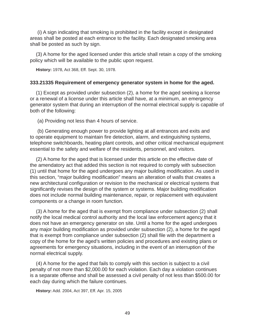(i) A sign indicating that smoking is prohibited in the facility except in designated areas shall be posted at each entrance to the facility. Each designated smoking area shall be posted as such by sign.

(3) A home for the aged licensed under this article shall retain a copy of the smoking policy which will be available to the public upon request.

**History:** 1978, Act 368, Eff. Sept. 30, 1978.

### **333.21335 Requirement of emergency generator system in home for the aged.**

(1) Except as provided under subsection (2), a home for the aged seeking a license or a renewal of a license under this article shall have, at a minimum, an emergency generator system that during an interruption of the normal electrical supply is capable of both of the following:

(a) Providing not less than 4 hours of service.

(b) Generating enough power to provide lighting at all entrances and exits and to operate equipment to maintain fire detection, alarm, and extinguishing systems, telephone switchboards, heating plant controls, and other critical mechanical equipment essential to the safety and welfare of the residents, personnel, and visitors.

(2) A home for the aged that is licensed under this article on the effective date of the amendatory act that added this section is not required to comply with subsection (1) until that home for the aged undergoes any major building modification. As used in this section, "major building modification" means an alteration of walls that creates a new architectural configuration or revision to the mechanical or electrical systems that significantly revises the design of the system or systems. Major building modification does not include normal building maintenance, repair, or replacement with equivalent components or a change in room function.

(3) A home for the aged that is exempt from compliance under subsection (2) shall notify the local medical control authority and the local law enforcement agency that it does not have an emergency generator on site. Until a home for the aged undergoes any major building modification as provided under subsection (2), a home for the aged that is exempt from compliance under subsection (2) shall file with the department a copy of the home for the aged's written policies and procedures and existing plans or agreements for emergency situations, including in the event of an interruption of the normal electrical supply.

(4) A home for the aged that fails to comply with this section is subject to a civil penalty of not more than \$2,000.00 for each violation. Each day a violation continues is a separate offense and shall be assessed a civil penalty of not less than \$500.00 for each day during which the failure continues.

**History:** Add. 2004, Act 397, Eff. Apr. 15, 2005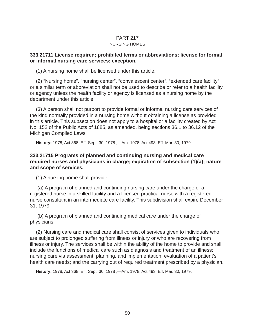#### PART 217 NURSING HOMES

### **333.21711 License required; prohibited terms or abbreviations; license for formal or informal nursing care services; exception.**

(1) A nursing home shall be licensed under this article.

(2) "Nursing home", "nursing center", "convalescent center", "extended care facility", or a similar term or abbreviation shall not be used to describe or refer to a health facility or agency unless the health facility or agency is licensed as a nursing home by the department under this article.

(3) A person shall not purport to provide formal or informal nursing care services of the kind normally provided in a nursing home without obtaining a license as provided in this article. This subsection does not apply to a hospital or a facility created by Act No. 152 of the Public Acts of 1885, as amended, being sections 36.1 to 36.12 of the Michigan Compiled Laws.

**History:** 1978, Act 368, Eff. Sept. 30, 1978 ;—Am. 1978, Act 493, Eff. Mar. 30, 1979.

## **333.21715 Programs of planned and continuing nursing and medical care required nurses and physicians in charge; expiration of subsection (1)(a); nature and scope of services.**

(1) A nursing home shall provide:

(a) A program of planned and continuing nursing care under the charge of a registered nurse in a skilled facility and a licensed practical nurse with a registered nurse consultant in an intermediate care facility. This subdivision shall expire December 31, 1979.

(b) A program of planned and continuing medical care under the charge of physicians.

(2) Nursing care and medical care shall consist of services given to individuals who are subject to prolonged suffering from illness or injury or who are recovering from illness or injury. The services shall be within the ability of the home to provide and shall include the functions of medical care such as diagnosis and treatment of an illness; nursing care via assessment, planning, and implementation; evaluation of a patient's health care needs; and the carrying out of required treatment prescribed by a physician.

**History:** 1978, Act 368, Eff. Sept. 30, 1978 ;—Am. 1978, Act 493, Eff. Mar. 30, 1979.